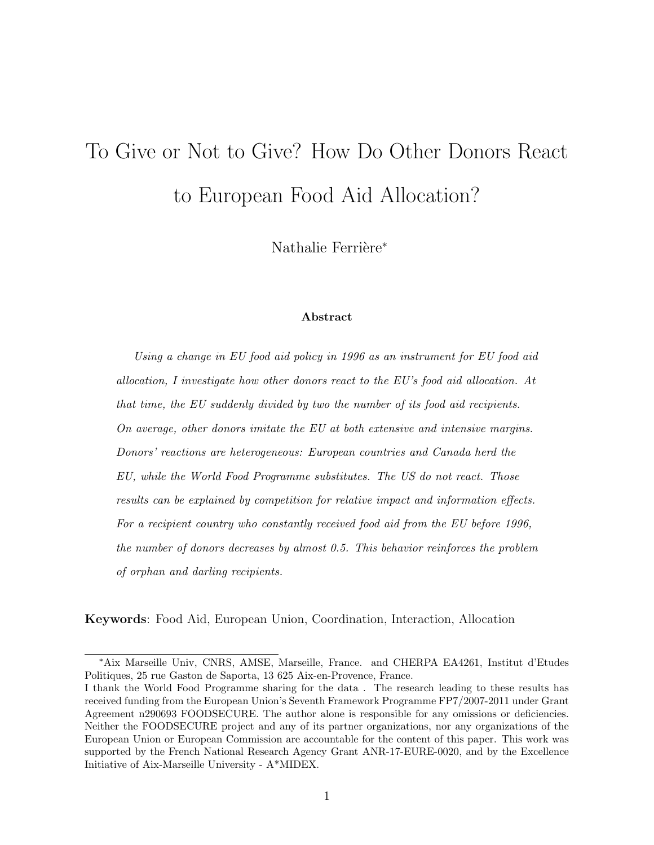# To Give or Not to Give? How Do Other Donors React to European Food Aid Allocation?

Nathalie Ferrière<sup>\*</sup>

#### Abstract

Using a change in EU food aid policy in 1996 as an instrument for EU food aid allocation, I investigate how other donors react to the EU's food aid allocation. At that time, the EU suddenly divided by two the number of its food aid recipients. On average, other donors imitate the EU at both extensive and intensive margins. Donors' reactions are heterogeneous: European countries and Canada herd the EU, while the World Food Programme substitutes. The US do not react. Those results can be explained by competition for relative impact and information effects. For a recipient country who constantly received food aid from the EU before 1996, the number of donors decreases by almost 0.5. This behavior reinforces the problem of orphan and darling recipients.

Keywords: Food Aid, European Union, Coordination, Interaction, Allocation

<sup>∗</sup>Aix Marseille Univ, CNRS, AMSE, Marseille, France. and CHERPA EA4261, Institut d'Etudes Politiques, 25 rue Gaston de Saporta, 13 625 Aix-en-Provence, France.

I thank the World Food Programme sharing for the data . The research leading to these results has received funding from the European Union's Seventh Framework Programme FP7/2007-2011 under Grant Agreement n290693 FOODSECURE. The author alone is responsible for any omissions or deficiencies. Neither the FOODSECURE project and any of its partner organizations, nor any organizations of the European Union or European Commission are accountable for the content of this paper. This work was supported by the French National Research Agency Grant ANR-17-EURE-0020, and by the Excellence Initiative of Aix-Marseille University - A\*MIDEX.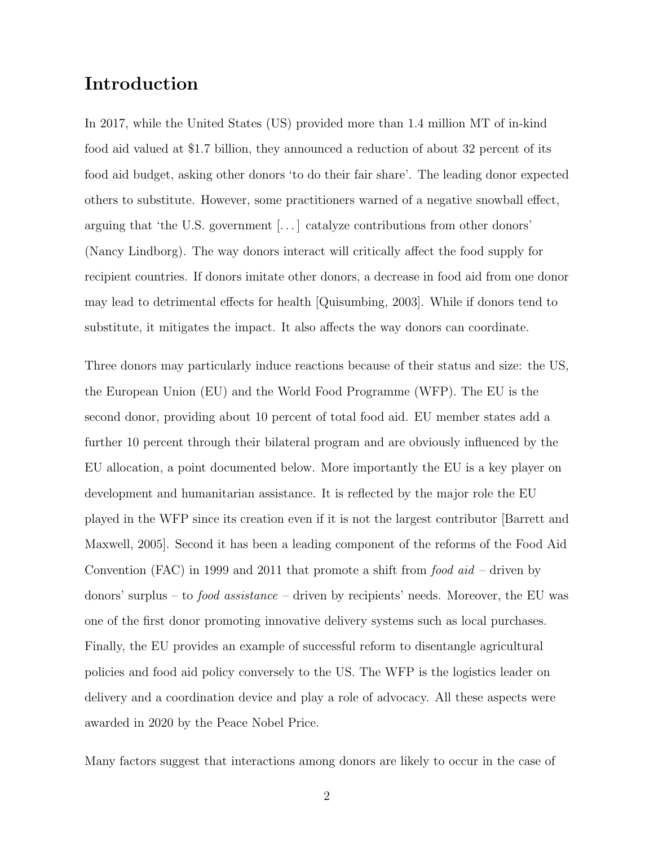## Introduction

In 2017, while the United States (US) provided more than 1.4 million MT of in-kind food aid valued at \$1.7 billion, they announced a reduction of about 32 percent of its food aid budget, asking other donors 'to do their fair share'. The leading donor expected others to substitute. However, some practitioners warned of a negative snowball effect, arguing that 'the U.S. government [. . . ] catalyze contributions from other donors' (Nancy Lindborg). The way donors interact will critically affect the food supply for recipient countries. If donors imitate other donors, a decrease in food aid from one donor may lead to detrimental effects for health [Quisumbing, 2003]. While if donors tend to substitute, it mitigates the impact. It also affects the way donors can coordinate.

Three donors may particularly induce reactions because of their status and size: the US, the European Union (EU) and the World Food Programme (WFP). The EU is the second donor, providing about 10 percent of total food aid. EU member states add a further 10 percent through their bilateral program and are obviously influenced by the EU allocation, a point documented below. More importantly the EU is a key player on development and humanitarian assistance. It is reflected by the major role the EU played in the WFP since its creation even if it is not the largest contributor [Barrett and Maxwell, 2005]. Second it has been a leading component of the reforms of the Food Aid Convention (FAC) in 1999 and 2011 that promote a shift from  $food \text{ } aid$  – driven by donors' surplus – to *food assistance* – driven by recipients' needs. Moreover, the EU was one of the first donor promoting innovative delivery systems such as local purchases. Finally, the EU provides an example of successful reform to disentangle agricultural policies and food aid policy conversely to the US. The WFP is the logistics leader on delivery and a coordination device and play a role of advocacy. All these aspects were awarded in 2020 by the Peace Nobel Price.

Many factors suggest that interactions among donors are likely to occur in the case of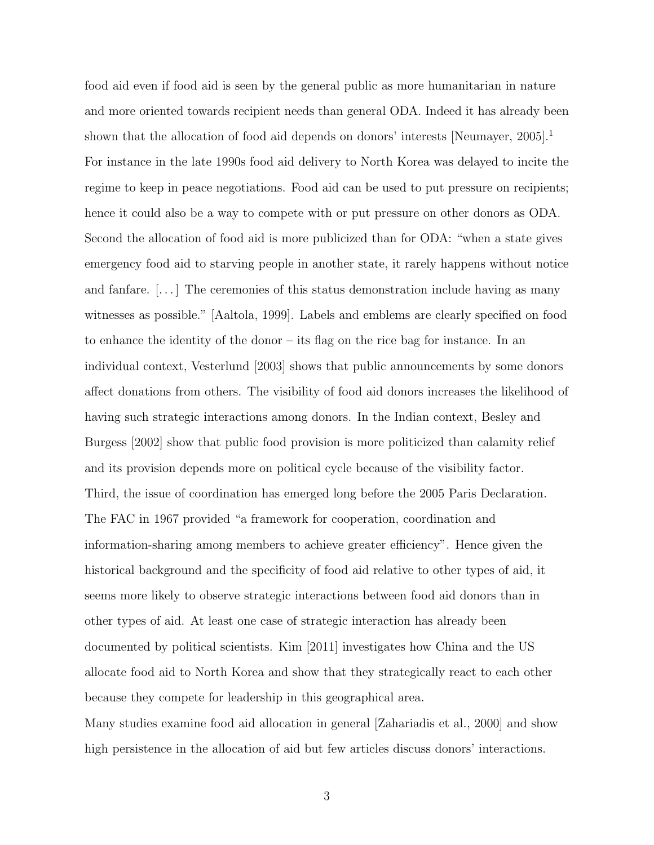food aid even if food aid is seen by the general public as more humanitarian in nature and more oriented towards recipient needs than general ODA. Indeed it has already been shown that the allocation of food aid depends on donors' interests [Neumayer, 2005].<sup>1</sup> For instance in the late 1990s food aid delivery to North Korea was delayed to incite the regime to keep in peace negotiations. Food aid can be used to put pressure on recipients; hence it could also be a way to compete with or put pressure on other donors as ODA. Second the allocation of food aid is more publicized than for ODA: "when a state gives emergency food aid to starving people in another state, it rarely happens without notice and fanfare.  $\left| \ldots \right|$  The ceremonies of this status demonstration include having as many witnesses as possible." [Aaltola, 1999]. Labels and emblems are clearly specified on food to enhance the identity of the donor – its flag on the rice bag for instance. In an individual context, Vesterlund [2003] shows that public announcements by some donors affect donations from others. The visibility of food aid donors increases the likelihood of having such strategic interactions among donors. In the Indian context, Besley and Burgess [2002] show that public food provision is more politicized than calamity relief and its provision depends more on political cycle because of the visibility factor. Third, the issue of coordination has emerged long before the 2005 Paris Declaration. The FAC in 1967 provided "a framework for cooperation, coordination and information-sharing among members to achieve greater efficiency". Hence given the historical background and the specificity of food aid relative to other types of aid, it seems more likely to observe strategic interactions between food aid donors than in other types of aid. At least one case of strategic interaction has already been documented by political scientists. Kim [2011] investigates how China and the US allocate food aid to North Korea and show that they strategically react to each other because they compete for leadership in this geographical area. Many studies examine food aid allocation in general [Zahariadis et al., 2000] and show

high persistence in the allocation of aid but few articles discuss donors' interactions.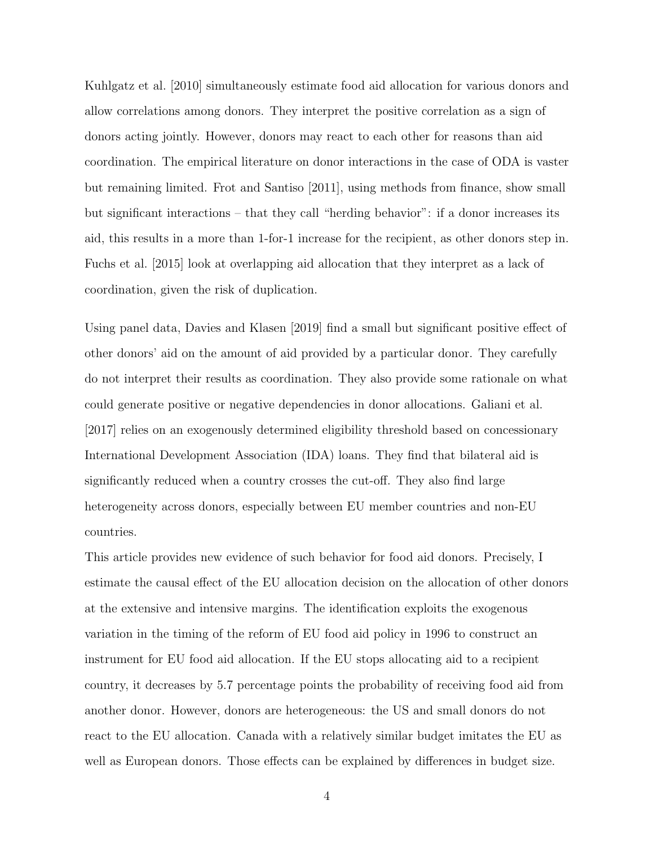Kuhlgatz et al. [2010] simultaneously estimate food aid allocation for various donors and allow correlations among donors. They interpret the positive correlation as a sign of donors acting jointly. However, donors may react to each other for reasons than aid coordination. The empirical literature on donor interactions in the case of ODA is vaster but remaining limited. Frot and Santiso [2011], using methods from finance, show small but significant interactions – that they call "herding behavior": if a donor increases its aid, this results in a more than 1-for-1 increase for the recipient, as other donors step in. Fuchs et al. [2015] look at overlapping aid allocation that they interpret as a lack of coordination, given the risk of duplication.

Using panel data, Davies and Klasen [2019] find a small but significant positive effect of other donors' aid on the amount of aid provided by a particular donor. They carefully do not interpret their results as coordination. They also provide some rationale on what could generate positive or negative dependencies in donor allocations. Galiani et al. [2017] relies on an exogenously determined eligibility threshold based on concessionary International Development Association (IDA) loans. They find that bilateral aid is significantly reduced when a country crosses the cut-off. They also find large heterogeneity across donors, especially between EU member countries and non-EU countries.

This article provides new evidence of such behavior for food aid donors. Precisely, I estimate the causal effect of the EU allocation decision on the allocation of other donors at the extensive and intensive margins. The identification exploits the exogenous variation in the timing of the reform of EU food aid policy in 1996 to construct an instrument for EU food aid allocation. If the EU stops allocating aid to a recipient country, it decreases by 5.7 percentage points the probability of receiving food aid from another donor. However, donors are heterogeneous: the US and small donors do not react to the EU allocation. Canada with a relatively similar budget imitates the EU as well as European donors. Those effects can be explained by differences in budget size.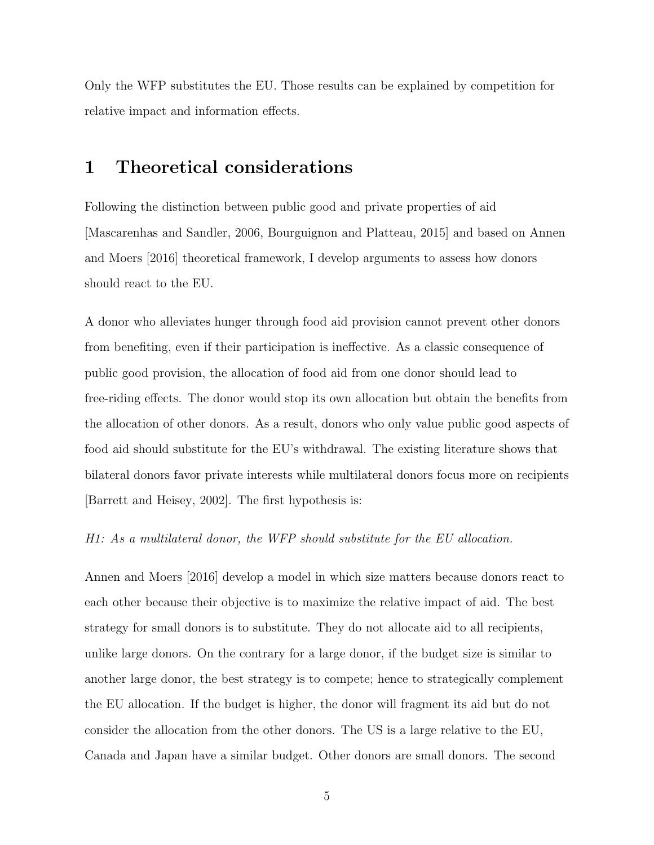Only the WFP substitutes the EU. Those results can be explained by competition for relative impact and information effects.

## 1 Theoretical considerations

Following the distinction between public good and private properties of aid [Mascarenhas and Sandler, 2006, Bourguignon and Platteau, 2015] and based on Annen and Moers [2016] theoretical framework, I develop arguments to assess how donors should react to the EU.

A donor who alleviates hunger through food aid provision cannot prevent other donors from benefiting, even if their participation is ineffective. As a classic consequence of public good provision, the allocation of food aid from one donor should lead to free-riding effects. The donor would stop its own allocation but obtain the benefits from the allocation of other donors. As a result, donors who only value public good aspects of food aid should substitute for the EU's withdrawal. The existing literature shows that bilateral donors favor private interests while multilateral donors focus more on recipients [Barrett and Heisey, 2002]. The first hypothesis is:

#### H1: As a multilateral donor, the WFP should substitute for the EU allocation.

Annen and Moers [2016] develop a model in which size matters because donors react to each other because their objective is to maximize the relative impact of aid. The best strategy for small donors is to substitute. They do not allocate aid to all recipients, unlike large donors. On the contrary for a large donor, if the budget size is similar to another large donor, the best strategy is to compete; hence to strategically complement the EU allocation. If the budget is higher, the donor will fragment its aid but do not consider the allocation from the other donors. The US is a large relative to the EU, Canada and Japan have a similar budget. Other donors are small donors. The second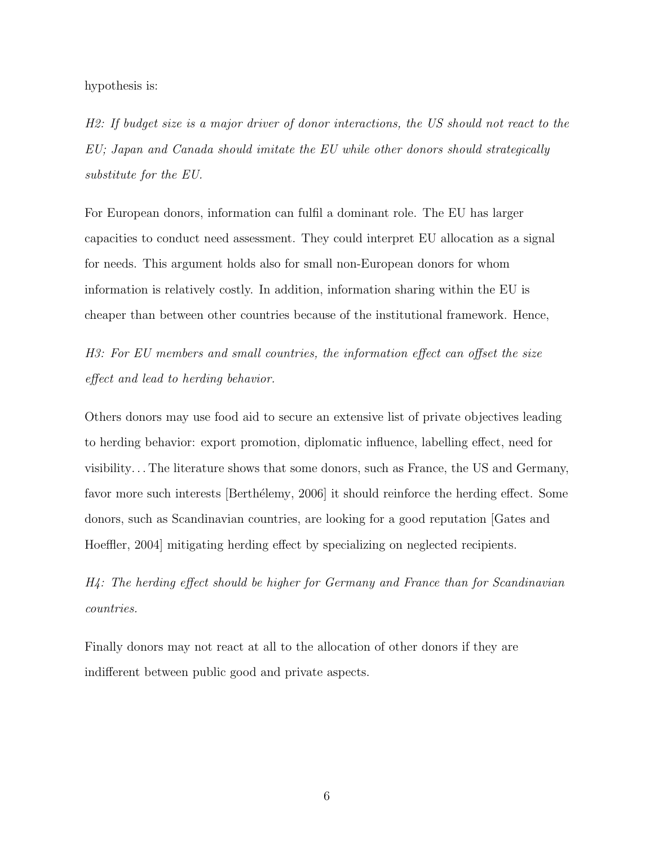hypothesis is:

H2: If budget size is a major driver of donor interactions, the US should not react to the EU; Japan and Canada should imitate the EU while other donors should strategically substitute for the EU.

For European donors, information can fulfil a dominant role. The EU has larger capacities to conduct need assessment. They could interpret EU allocation as a signal for needs. This argument holds also for small non-European donors for whom information is relatively costly. In addition, information sharing within the EU is cheaper than between other countries because of the institutional framework. Hence,

H3: For EU members and small countries, the information effect can offset the size effect and lead to herding behavior.

Others donors may use food aid to secure an extensive list of private objectives leading to herding behavior: export promotion, diplomatic influence, labelling effect, need for visibility. . . The literature shows that some donors, such as France, the US and Germany, favor more such interests [Berthélemy, 2006] it should reinforce the herding effect. Some donors, such as Scandinavian countries, are looking for a good reputation [Gates and Hoeffler, 2004] mitigating herding effect by specializing on neglected recipients.

H4: The herding effect should be higher for Germany and France than for Scandinavian countries.

Finally donors may not react at all to the allocation of other donors if they are indifferent between public good and private aspects.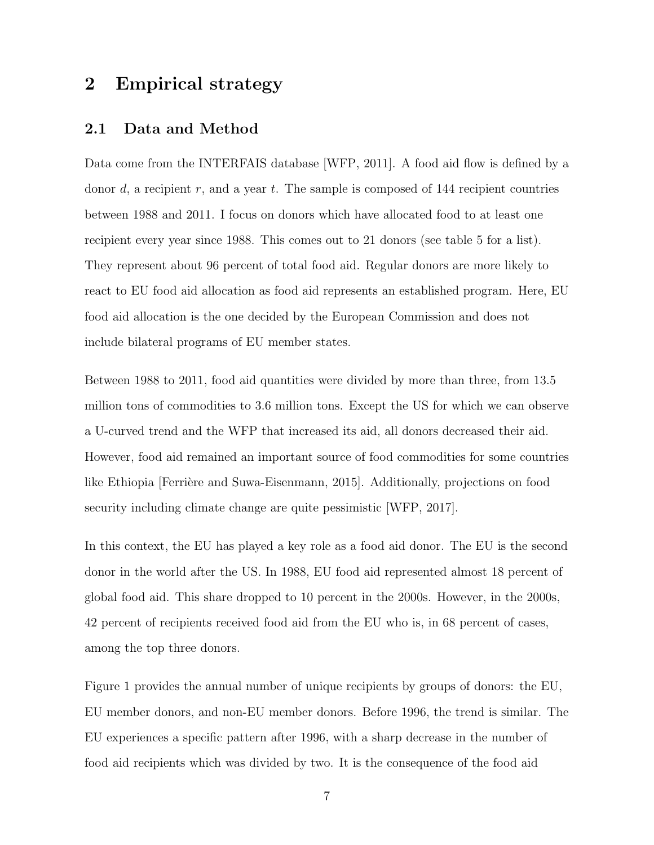## 2 Empirical strategy

#### 2.1 Data and Method

Data come from the INTERFAIS database [WFP, 2011]. A food aid flow is defined by a donor d, a recipient  $r$ , and a year t. The sample is composed of 144 recipient countries between 1988 and 2011. I focus on donors which have allocated food to at least one recipient every year since 1988. This comes out to 21 donors (see table 5 for a list). They represent about 96 percent of total food aid. Regular donors are more likely to react to EU food aid allocation as food aid represents an established program. Here, EU food aid allocation is the one decided by the European Commission and does not include bilateral programs of EU member states.

Between 1988 to 2011, food aid quantities were divided by more than three, from 13.5 million tons of commodities to 3.6 million tons. Except the US for which we can observe a U-curved trend and the WFP that increased its aid, all donors decreased their aid. However, food aid remained an important source of food commodities for some countries like Ethiopia [Ferrière and Suwa-Eisenmann, 2015]. Additionally, projections on food security including climate change are quite pessimistic [WFP, 2017].

In this context, the EU has played a key role as a food aid donor. The EU is the second donor in the world after the US. In 1988, EU food aid represented almost 18 percent of global food aid. This share dropped to 10 percent in the 2000s. However, in the 2000s, 42 percent of recipients received food aid from the EU who is, in 68 percent of cases, among the top three donors.

Figure 1 provides the annual number of unique recipients by groups of donors: the EU, EU member donors, and non-EU member donors. Before 1996, the trend is similar. The EU experiences a specific pattern after 1996, with a sharp decrease in the number of food aid recipients which was divided by two. It is the consequence of the food aid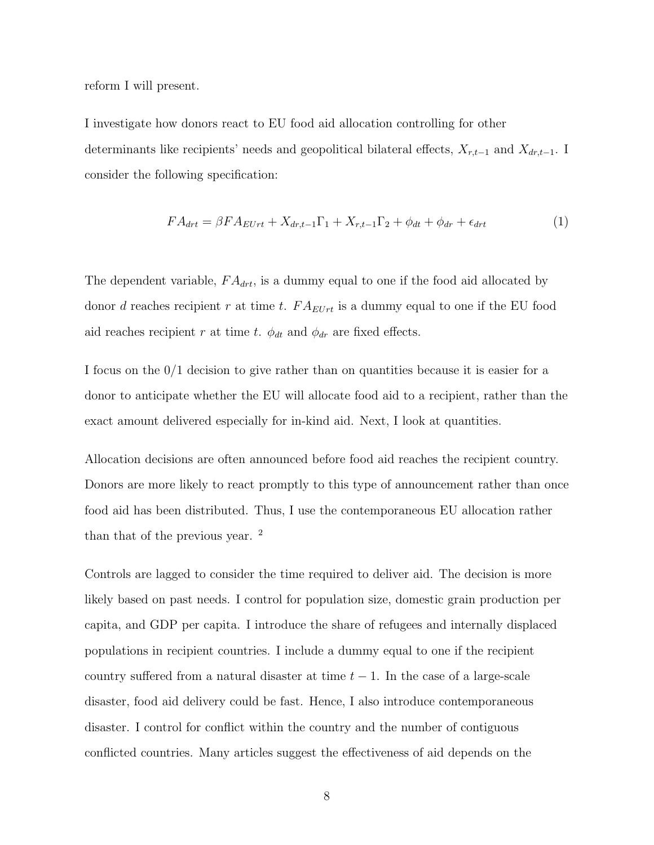reform I will present.

I investigate how donors react to EU food aid allocation controlling for other determinants like recipients' needs and geopolitical bilateral effects,  $X_{r,t-1}$  and  $X_{dr,t-1}$ . I consider the following specification:

$$
FA_{drt} = \beta FA_{EUrt} + X_{dr,t-1}\Gamma_1 + X_{r,t-1}\Gamma_2 + \phi_{dt} + \phi_{dr} + \epsilon_{drt}
$$
\n<sup>(1)</sup>

The dependent variable,  $FA_{drt}$ , is a dummy equal to one if the food aid allocated by donor d reaches recipient r at time t.  $FA_{EUr}$  is a dummy equal to one if the EU food aid reaches recipient r at time t.  $\phi_{dt}$  and  $\phi_{dr}$  are fixed effects.

I focus on the 0/1 decision to give rather than on quantities because it is easier for a donor to anticipate whether the EU will allocate food aid to a recipient, rather than the exact amount delivered especially for in-kind aid. Next, I look at quantities.

Allocation decisions are often announced before food aid reaches the recipient country. Donors are more likely to react promptly to this type of announcement rather than once food aid has been distributed. Thus, I use the contemporaneous EU allocation rather than that of the previous year. <sup>2</sup>

Controls are lagged to consider the time required to deliver aid. The decision is more likely based on past needs. I control for population size, domestic grain production per capita, and GDP per capita. I introduce the share of refugees and internally displaced populations in recipient countries. I include a dummy equal to one if the recipient country suffered from a natural disaster at time  $t - 1$ . In the case of a large-scale disaster, food aid delivery could be fast. Hence, I also introduce contemporaneous disaster. I control for conflict within the country and the number of contiguous conflicted countries. Many articles suggest the effectiveness of aid depends on the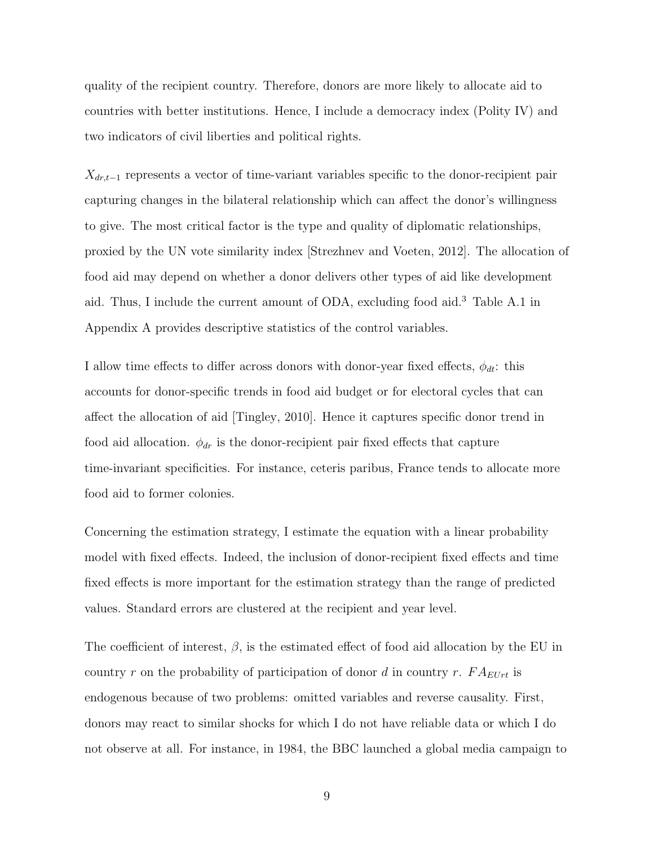quality of the recipient country. Therefore, donors are more likely to allocate aid to countries with better institutions. Hence, I include a democracy index (Polity IV) and two indicators of civil liberties and political rights.

 $X_{dr,t-1}$  represents a vector of time-variant variables specific to the donor-recipient pair capturing changes in the bilateral relationship which can affect the donor's willingness to give. The most critical factor is the type and quality of diplomatic relationships, proxied by the UN vote similarity index [Strezhnev and Voeten, 2012]. The allocation of food aid may depend on whether a donor delivers other types of aid like development aid. Thus, I include the current amount of ODA, excluding food aid.<sup>3</sup> Table A.1 in Appendix A provides descriptive statistics of the control variables.

I allow time effects to differ across donors with donor-year fixed effects,  $\phi_{dt}$ : this accounts for donor-specific trends in food aid budget or for electoral cycles that can affect the allocation of aid [Tingley, 2010]. Hence it captures specific donor trend in food aid allocation.  $\phi_{dr}$  is the donor-recipient pair fixed effects that capture time-invariant specificities. For instance, ceteris paribus, France tends to allocate more food aid to former colonies.

Concerning the estimation strategy, I estimate the equation with a linear probability model with fixed effects. Indeed, the inclusion of donor-recipient fixed effects and time fixed effects is more important for the estimation strategy than the range of predicted values. Standard errors are clustered at the recipient and year level.

The coefficient of interest,  $\beta$ , is the estimated effect of food aid allocation by the EU in country r on the probability of participation of donor d in country r.  $FA_{EUT}$  is endogenous because of two problems: omitted variables and reverse causality. First, donors may react to similar shocks for which I do not have reliable data or which I do not observe at all. For instance, in 1984, the BBC launched a global media campaign to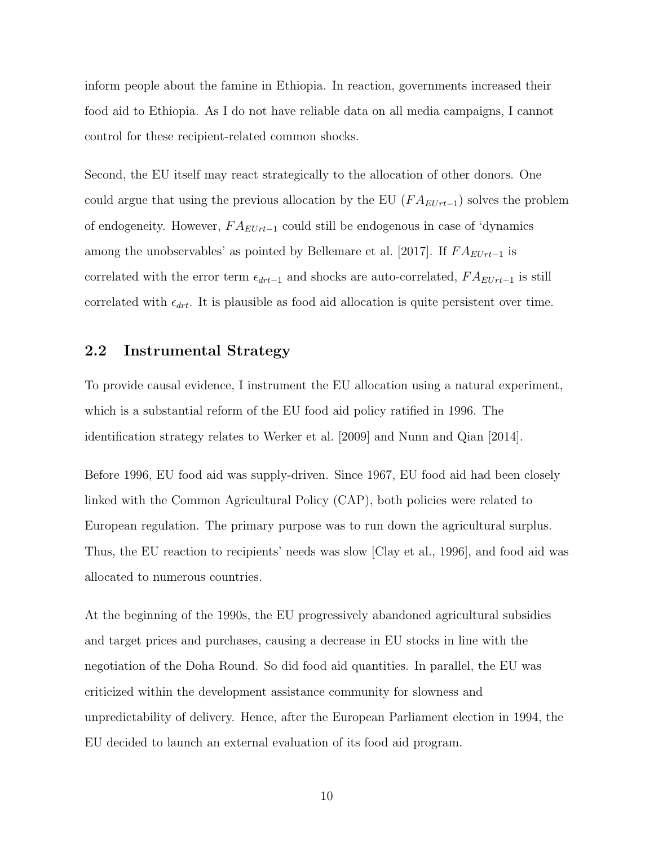inform people about the famine in Ethiopia. In reaction, governments increased their food aid to Ethiopia. As I do not have reliable data on all media campaigns, I cannot control for these recipient-related common shocks.

Second, the EU itself may react strategically to the allocation of other donors. One could argue that using the previous allocation by the EU  $(FA_{EUrt-1})$  solves the problem of endogeneity. However,  $FA_{EUrt-1}$  could still be endogenous in case of 'dynamics among the unobservables' as pointed by Bellemare et al. [2017]. If  $FA_{EUTt-1}$  is correlated with the error term  $\epsilon_{drt-1}$  and shocks are auto-correlated,  $FA_{EUr-1}$  is still correlated with  $\epsilon_{drt}$ . It is plausible as food aid allocation is quite persistent over time.

#### 2.2 Instrumental Strategy

To provide causal evidence, I instrument the EU allocation using a natural experiment, which is a substantial reform of the EU food aid policy ratified in 1996. The identification strategy relates to Werker et al. [2009] and Nunn and Qian [2014].

Before 1996, EU food aid was supply-driven. Since 1967, EU food aid had been closely linked with the Common Agricultural Policy (CAP), both policies were related to European regulation. The primary purpose was to run down the agricultural surplus. Thus, the EU reaction to recipients' needs was slow [Clay et al., 1996], and food aid was allocated to numerous countries.

At the beginning of the 1990s, the EU progressively abandoned agricultural subsidies and target prices and purchases, causing a decrease in EU stocks in line with the negotiation of the Doha Round. So did food aid quantities. In parallel, the EU was criticized within the development assistance community for slowness and unpredictability of delivery. Hence, after the European Parliament election in 1994, the EU decided to launch an external evaluation of its food aid program.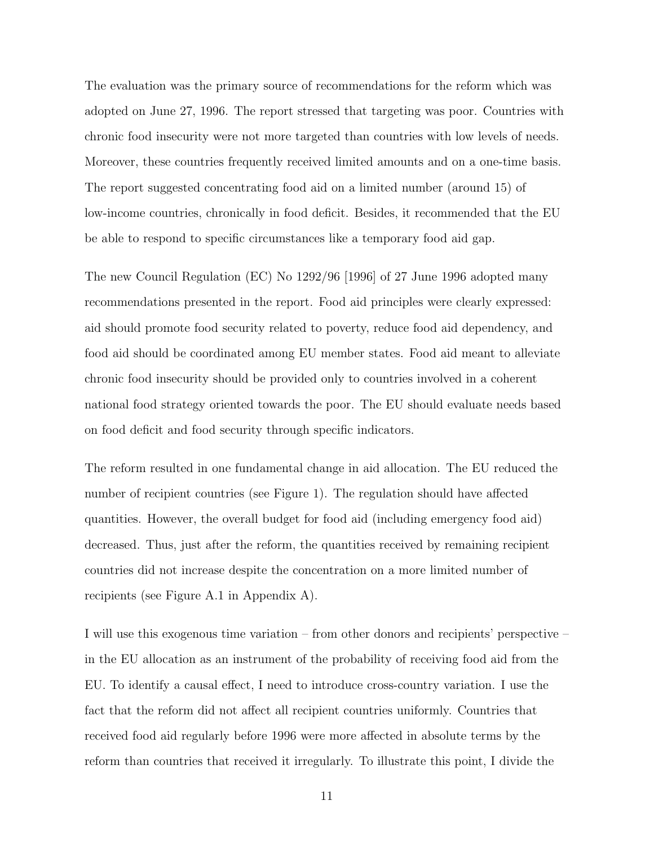The evaluation was the primary source of recommendations for the reform which was adopted on June 27, 1996. The report stressed that targeting was poor. Countries with chronic food insecurity were not more targeted than countries with low levels of needs. Moreover, these countries frequently received limited amounts and on a one-time basis. The report suggested concentrating food aid on a limited number (around 15) of low-income countries, chronically in food deficit. Besides, it recommended that the EU be able to respond to specific circumstances like a temporary food aid gap.

The new Council Regulation (EC) No 1292/96 [1996] of 27 June 1996 adopted many recommendations presented in the report. Food aid principles were clearly expressed: aid should promote food security related to poverty, reduce food aid dependency, and food aid should be coordinated among EU member states. Food aid meant to alleviate chronic food insecurity should be provided only to countries involved in a coherent national food strategy oriented towards the poor. The EU should evaluate needs based on food deficit and food security through specific indicators.

The reform resulted in one fundamental change in aid allocation. The EU reduced the number of recipient countries (see Figure 1). The regulation should have affected quantities. However, the overall budget for food aid (including emergency food aid) decreased. Thus, just after the reform, the quantities received by remaining recipient countries did not increase despite the concentration on a more limited number of recipients (see Figure A.1 in Appendix A).

I will use this exogenous time variation – from other donors and recipients' perspective – in the EU allocation as an instrument of the probability of receiving food aid from the EU. To identify a causal effect, I need to introduce cross-country variation. I use the fact that the reform did not affect all recipient countries uniformly. Countries that received food aid regularly before 1996 were more affected in absolute terms by the reform than countries that received it irregularly. To illustrate this point, I divide the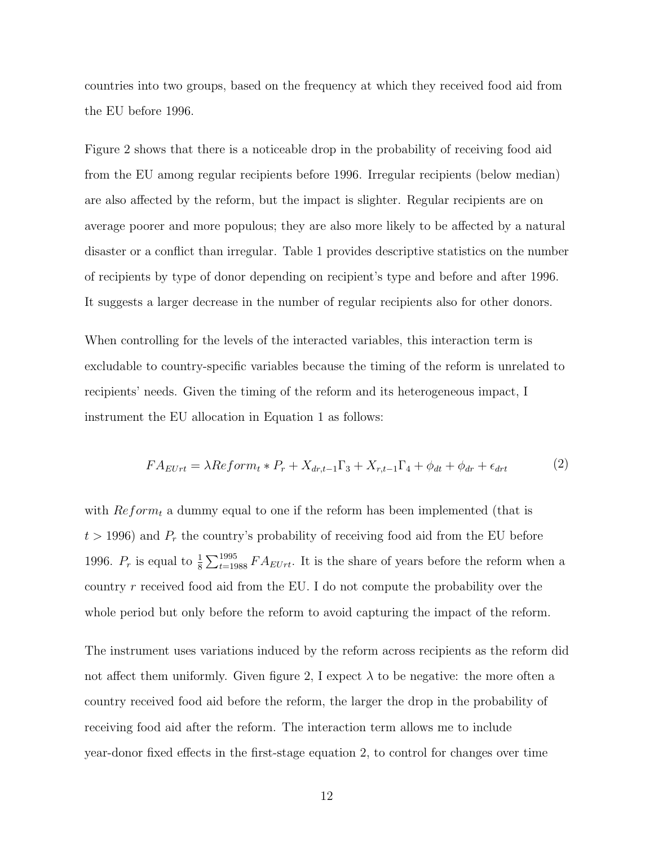countries into two groups, based on the frequency at which they received food aid from the EU before 1996.

Figure 2 shows that there is a noticeable drop in the probability of receiving food aid from the EU among regular recipients before 1996. Irregular recipients (below median) are also affected by the reform, but the impact is slighter. Regular recipients are on average poorer and more populous; they are also more likely to be affected by a natural disaster or a conflict than irregular. Table 1 provides descriptive statistics on the number of recipients by type of donor depending on recipient's type and before and after 1996. It suggests a larger decrease in the number of regular recipients also for other donors.

When controlling for the levels of the interacted variables, this interaction term is excludable to country-specific variables because the timing of the reform is unrelated to recipients' needs. Given the timing of the reform and its heterogeneous impact, I instrument the EU allocation in Equation 1 as follows:

$$
FA_{EUrt} = \lambda Reform_t * P_r + X_{dr,t-1} \Gamma_3 + X_{r,t-1} \Gamma_4 + \phi_{dt} + \phi_{dr} + \epsilon_{drt}
$$
 (2)

with  $Reform_t$  a dummy equal to one if the reform has been implemented (that is  $t > 1996$ ) and  $P_r$  the country's probability of receiving food aid from the EU before 1996.  $P_r$  is equal to  $\frac{1}{8}\sum_{t=1988}^{1995}FA_{EUrt}$ . It is the share of years before the reform when a country  $r$  received food aid from the EU. I do not compute the probability over the whole period but only before the reform to avoid capturing the impact of the reform.

The instrument uses variations induced by the reform across recipients as the reform did not affect them uniformly. Given figure 2, I expect  $\lambda$  to be negative: the more often a country received food aid before the reform, the larger the drop in the probability of receiving food aid after the reform. The interaction term allows me to include year-donor fixed effects in the first-stage equation 2, to control for changes over time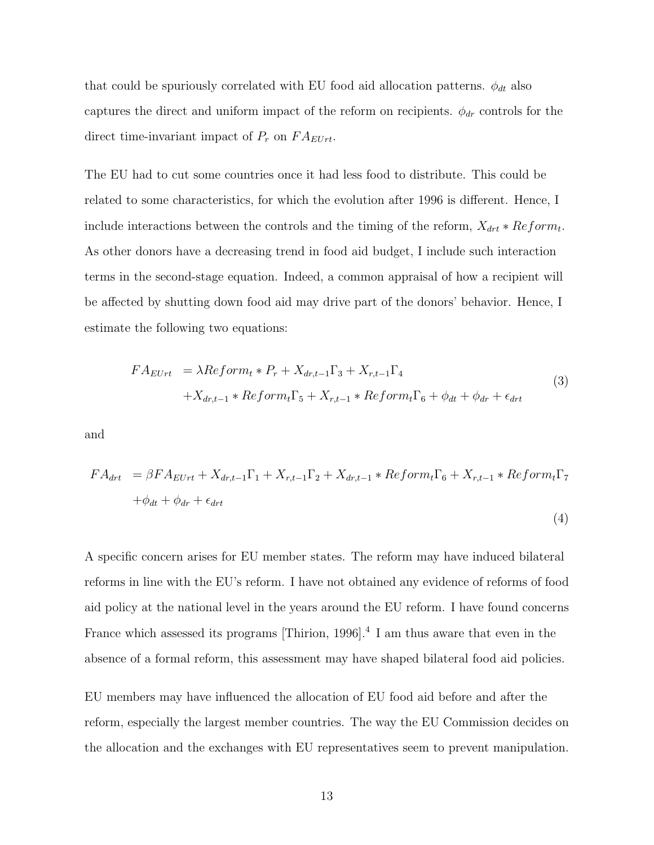that could be spuriously correlated with EU food aid allocation patterns.  $\phi_{dt}$  also captures the direct and uniform impact of the reform on recipients.  $\phi_{dr}$  controls for the direct time-invariant impact of  $P_r$  on  $FA_{EUrt}$ .

The EU had to cut some countries once it had less food to distribute. This could be related to some characteristics, for which the evolution after 1996 is different. Hence, I include interactions between the controls and the timing of the reform,  $X_{drt} * Reform_t$ . As other donors have a decreasing trend in food aid budget, I include such interaction terms in the second-stage equation. Indeed, a common appraisal of how a recipient will be affected by shutting down food aid may drive part of the donors' behavior. Hence, I estimate the following two equations:

$$
FA_{EUrt} = \lambda Reform_t * P_r + X_{dr,t-1}\Gamma_3 + X_{r,t-1}\Gamma_4
$$
  
+ $X_{dr,t-1} * Reform_t\Gamma_5 + X_{r,t-1} * Reform_t\Gamma_6 + \phi_{dt} + \phi_{dr} + \epsilon_{drt}$  (3)

and

$$
FA_{drt} = \beta FA_{EUrt} + X_{dr,t-1}\Gamma_1 + X_{r,t-1}\Gamma_2 + X_{dr,t-1} * Reform_t\Gamma_6 + X_{r,t-1} * Reform_t\Gamma_7
$$
  
+ $\phi_{dt} + \phi_{dr} + \epsilon_{drt}$  (4)

A specific concern arises for EU member states. The reform may have induced bilateral reforms in line with the EU's reform. I have not obtained any evidence of reforms of food aid policy at the national level in the years around the EU reform. I have found concerns France which assessed its programs [Thirion, 1996].<sup>4</sup> I am thus aware that even in the absence of a formal reform, this assessment may have shaped bilateral food aid policies.

EU members may have influenced the allocation of EU food aid before and after the reform, especially the largest member countries. The way the EU Commission decides on the allocation and the exchanges with EU representatives seem to prevent manipulation.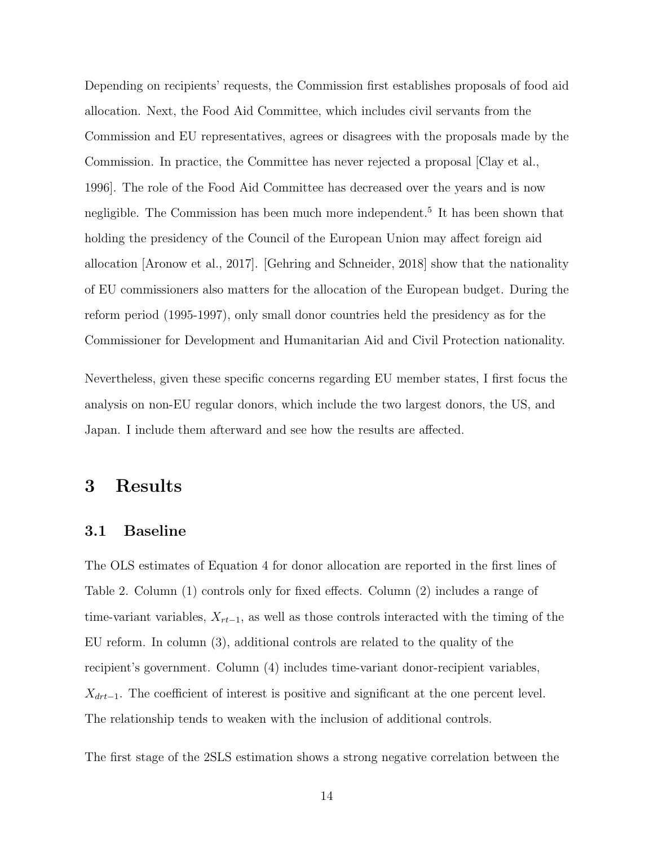Depending on recipients' requests, the Commission first establishes proposals of food aid allocation. Next, the Food Aid Committee, which includes civil servants from the Commission and EU representatives, agrees or disagrees with the proposals made by the Commission. In practice, the Committee has never rejected a proposal [Clay et al., 1996]. The role of the Food Aid Committee has decreased over the years and is now negligible. The Commission has been much more independent.<sup>5</sup> It has been shown that holding the presidency of the Council of the European Union may affect foreign aid allocation [Aronow et al., 2017]. [Gehring and Schneider, 2018] show that the nationality of EU commissioners also matters for the allocation of the European budget. During the reform period (1995-1997), only small donor countries held the presidency as for the Commissioner for Development and Humanitarian Aid and Civil Protection nationality.

Nevertheless, given these specific concerns regarding EU member states, I first focus the analysis on non-EU regular donors, which include the two largest donors, the US, and Japan. I include them afterward and see how the results are affected.

### 3 Results

#### 3.1 Baseline

The OLS estimates of Equation 4 for donor allocation are reported in the first lines of Table 2. Column (1) controls only for fixed effects. Column (2) includes a range of time-variant variables,  $X_{rt-1}$ , as well as those controls interacted with the timing of the EU reform. In column (3), additional controls are related to the quality of the recipient's government. Column (4) includes time-variant donor-recipient variables,  $X_{drt-1}$ . The coefficient of interest is positive and significant at the one percent level. The relationship tends to weaken with the inclusion of additional controls.

The first stage of the 2SLS estimation shows a strong negative correlation between the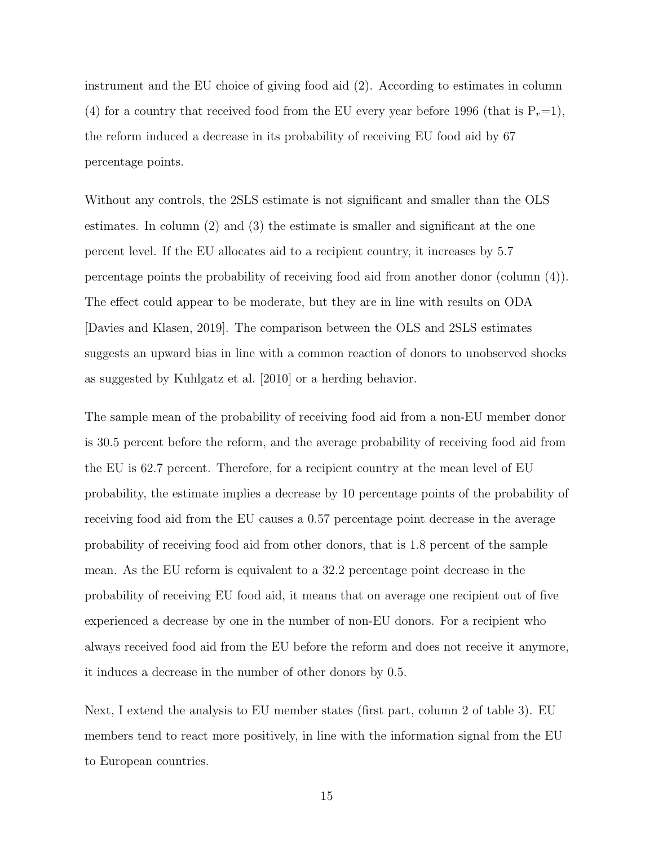instrument and the EU choice of giving food aid (2). According to estimates in column (4) for a country that received food from the EU every year before 1996 (that is  $P_r=1$ ), the reform induced a decrease in its probability of receiving EU food aid by 67 percentage points.

Without any controls, the 2SLS estimate is not significant and smaller than the OLS estimates. In column (2) and (3) the estimate is smaller and significant at the one percent level. If the EU allocates aid to a recipient country, it increases by 5.7 percentage points the probability of receiving food aid from another donor (column (4)). The effect could appear to be moderate, but they are in line with results on ODA [Davies and Klasen, 2019]. The comparison between the OLS and 2SLS estimates suggests an upward bias in line with a common reaction of donors to unobserved shocks as suggested by Kuhlgatz et al. [2010] or a herding behavior.

The sample mean of the probability of receiving food aid from a non-EU member donor is 30.5 percent before the reform, and the average probability of receiving food aid from the EU is 62.7 percent. Therefore, for a recipient country at the mean level of EU probability, the estimate implies a decrease by 10 percentage points of the probability of receiving food aid from the EU causes a 0.57 percentage point decrease in the average probability of receiving food aid from other donors, that is 1.8 percent of the sample mean. As the EU reform is equivalent to a 32.2 percentage point decrease in the probability of receiving EU food aid, it means that on average one recipient out of five experienced a decrease by one in the number of non-EU donors. For a recipient who always received food aid from the EU before the reform and does not receive it anymore, it induces a decrease in the number of other donors by 0.5.

Next, I extend the analysis to EU member states (first part, column 2 of table 3). EU members tend to react more positively, in line with the information signal from the EU to European countries.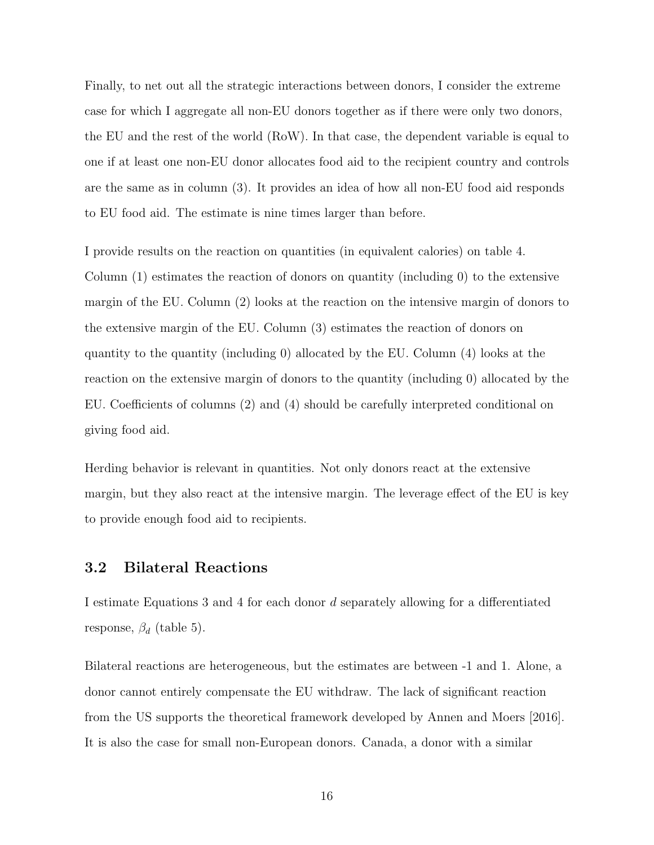Finally, to net out all the strategic interactions between donors, I consider the extreme case for which I aggregate all non-EU donors together as if there were only two donors, the EU and the rest of the world (RoW). In that case, the dependent variable is equal to one if at least one non-EU donor allocates food aid to the recipient country and controls are the same as in column (3). It provides an idea of how all non-EU food aid responds to EU food aid. The estimate is nine times larger than before.

I provide results on the reaction on quantities (in equivalent calories) on table 4. Column (1) estimates the reaction of donors on quantity (including 0) to the extensive margin of the EU. Column (2) looks at the reaction on the intensive margin of donors to the extensive margin of the EU. Column (3) estimates the reaction of donors on quantity to the quantity (including 0) allocated by the EU. Column (4) looks at the reaction on the extensive margin of donors to the quantity (including 0) allocated by the EU. Coefficients of columns (2) and (4) should be carefully interpreted conditional on giving food aid.

Herding behavior is relevant in quantities. Not only donors react at the extensive margin, but they also react at the intensive margin. The leverage effect of the EU is key to provide enough food aid to recipients.

#### 3.2 Bilateral Reactions

I estimate Equations 3 and 4 for each donor d separately allowing for a differentiated response,  $\beta_d$  (table 5).

Bilateral reactions are heterogeneous, but the estimates are between -1 and 1. Alone, a donor cannot entirely compensate the EU withdraw. The lack of significant reaction from the US supports the theoretical framework developed by Annen and Moers [2016]. It is also the case for small non-European donors. Canada, a donor with a similar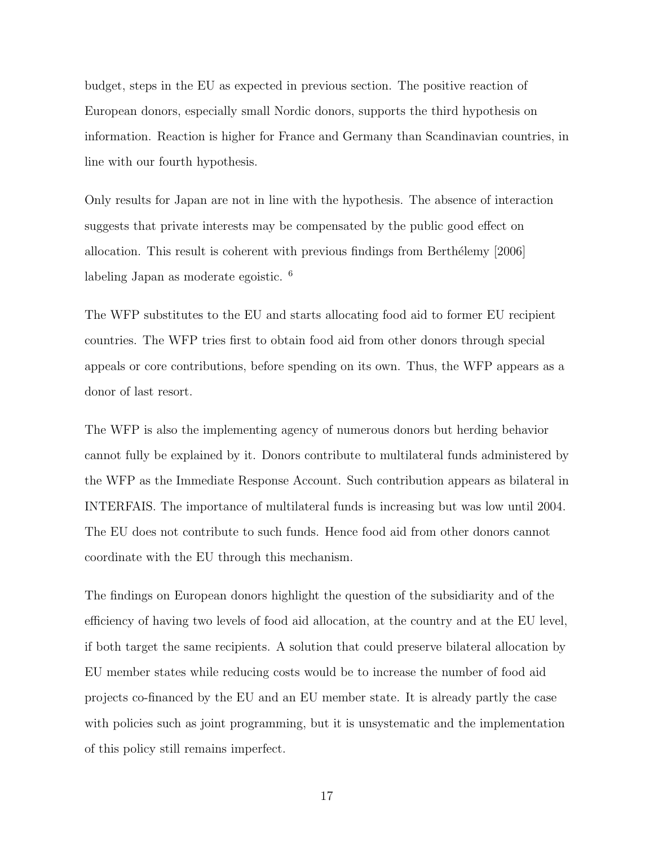budget, steps in the EU as expected in previous section. The positive reaction of European donors, especially small Nordic donors, supports the third hypothesis on information. Reaction is higher for France and Germany than Scandinavian countries, in line with our fourth hypothesis.

Only results for Japan are not in line with the hypothesis. The absence of interaction suggests that private interests may be compensated by the public good effect on allocation. This result is coherent with previous findings from Berthélemy [2006] labeling Japan as moderate egoistic. <sup>6</sup>

The WFP substitutes to the EU and starts allocating food aid to former EU recipient countries. The WFP tries first to obtain food aid from other donors through special appeals or core contributions, before spending on its own. Thus, the WFP appears as a donor of last resort.

The WFP is also the implementing agency of numerous donors but herding behavior cannot fully be explained by it. Donors contribute to multilateral funds administered by the WFP as the Immediate Response Account. Such contribution appears as bilateral in INTERFAIS. The importance of multilateral funds is increasing but was low until 2004. The EU does not contribute to such funds. Hence food aid from other donors cannot coordinate with the EU through this mechanism.

The findings on European donors highlight the question of the subsidiarity and of the efficiency of having two levels of food aid allocation, at the country and at the EU level, if both target the same recipients. A solution that could preserve bilateral allocation by EU member states while reducing costs would be to increase the number of food aid projects co-financed by the EU and an EU member state. It is already partly the case with policies such as joint programming, but it is unsystematic and the implementation of this policy still remains imperfect.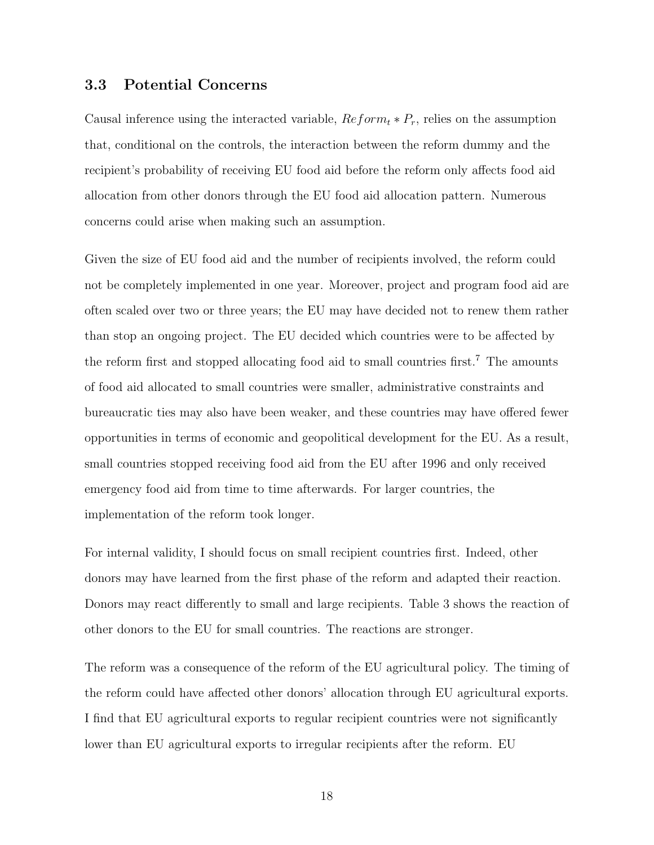#### 3.3 Potential Concerns

Causal inference using the interacted variable,  $Reform_t * P_r$ , relies on the assumption that, conditional on the controls, the interaction between the reform dummy and the recipient's probability of receiving EU food aid before the reform only affects food aid allocation from other donors through the EU food aid allocation pattern. Numerous concerns could arise when making such an assumption.

Given the size of EU food aid and the number of recipients involved, the reform could not be completely implemented in one year. Moreover, project and program food aid are often scaled over two or three years; the EU may have decided not to renew them rather than stop an ongoing project. The EU decided which countries were to be affected by the reform first and stopped allocating food aid to small countries first.<sup>7</sup> The amounts of food aid allocated to small countries were smaller, administrative constraints and bureaucratic ties may also have been weaker, and these countries may have offered fewer opportunities in terms of economic and geopolitical development for the EU. As a result, small countries stopped receiving food aid from the EU after 1996 and only received emergency food aid from time to time afterwards. For larger countries, the implementation of the reform took longer.

For internal validity, I should focus on small recipient countries first. Indeed, other donors may have learned from the first phase of the reform and adapted their reaction. Donors may react differently to small and large recipients. Table 3 shows the reaction of other donors to the EU for small countries. The reactions are stronger.

The reform was a consequence of the reform of the EU agricultural policy. The timing of the reform could have affected other donors' allocation through EU agricultural exports. I find that EU agricultural exports to regular recipient countries were not significantly lower than EU agricultural exports to irregular recipients after the reform. EU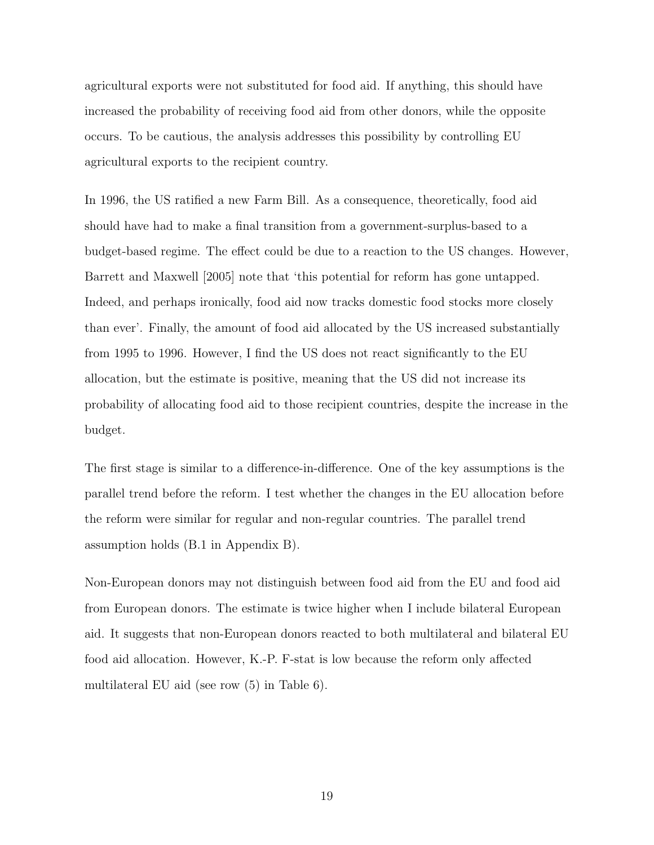agricultural exports were not substituted for food aid. If anything, this should have increased the probability of receiving food aid from other donors, while the opposite occurs. To be cautious, the analysis addresses this possibility by controlling EU agricultural exports to the recipient country.

In 1996, the US ratified a new Farm Bill. As a consequence, theoretically, food aid should have had to make a final transition from a government-surplus-based to a budget-based regime. The effect could be due to a reaction to the US changes. However, Barrett and Maxwell [2005] note that 'this potential for reform has gone untapped. Indeed, and perhaps ironically, food aid now tracks domestic food stocks more closely than ever'. Finally, the amount of food aid allocated by the US increased substantially from 1995 to 1996. However, I find the US does not react significantly to the EU allocation, but the estimate is positive, meaning that the US did not increase its probability of allocating food aid to those recipient countries, despite the increase in the budget.

The first stage is similar to a difference-in-difference. One of the key assumptions is the parallel trend before the reform. I test whether the changes in the EU allocation before the reform were similar for regular and non-regular countries. The parallel trend assumption holds (B.1 in Appendix B).

Non-European donors may not distinguish between food aid from the EU and food aid from European donors. The estimate is twice higher when I include bilateral European aid. It suggests that non-European donors reacted to both multilateral and bilateral EU food aid allocation. However, K.-P. F-stat is low because the reform only affected multilateral EU aid (see row (5) in Table 6).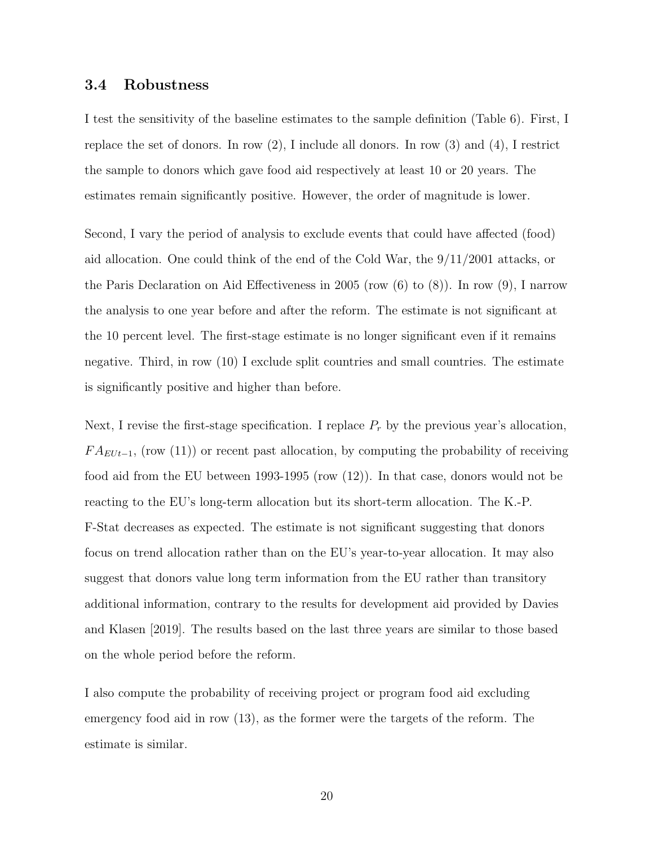#### 3.4 Robustness

I test the sensitivity of the baseline estimates to the sample definition (Table 6). First, I replace the set of donors. In row  $(2)$ , I include all donors. In row  $(3)$  and  $(4)$ , I restrict the sample to donors which gave food aid respectively at least 10 or 20 years. The estimates remain significantly positive. However, the order of magnitude is lower.

Second, I vary the period of analysis to exclude events that could have affected (food) aid allocation. One could think of the end of the Cold War, the 9/11/2001 attacks, or the Paris Declaration on Aid Effectiveness in 2005 (row (6) to (8)). In row (9), I narrow the analysis to one year before and after the reform. The estimate is not significant at the 10 percent level. The first-stage estimate is no longer significant even if it remains negative. Third, in row (10) I exclude split countries and small countries. The estimate is significantly positive and higher than before.

Next, I revise the first-stage specification. I replace  $P_r$  by the previous year's allocation,  $FA_{EUt-1}$ , (row (11)) or recent past allocation, by computing the probability of receiving food aid from the EU between 1993-1995 (row (12)). In that case, donors would not be reacting to the EU's long-term allocation but its short-term allocation. The K.-P. F-Stat decreases as expected. The estimate is not significant suggesting that donors focus on trend allocation rather than on the EU's year-to-year allocation. It may also suggest that donors value long term information from the EU rather than transitory additional information, contrary to the results for development aid provided by Davies and Klasen [2019]. The results based on the last three years are similar to those based on the whole period before the reform.

I also compute the probability of receiving project or program food aid excluding emergency food aid in row (13), as the former were the targets of the reform. The estimate is similar.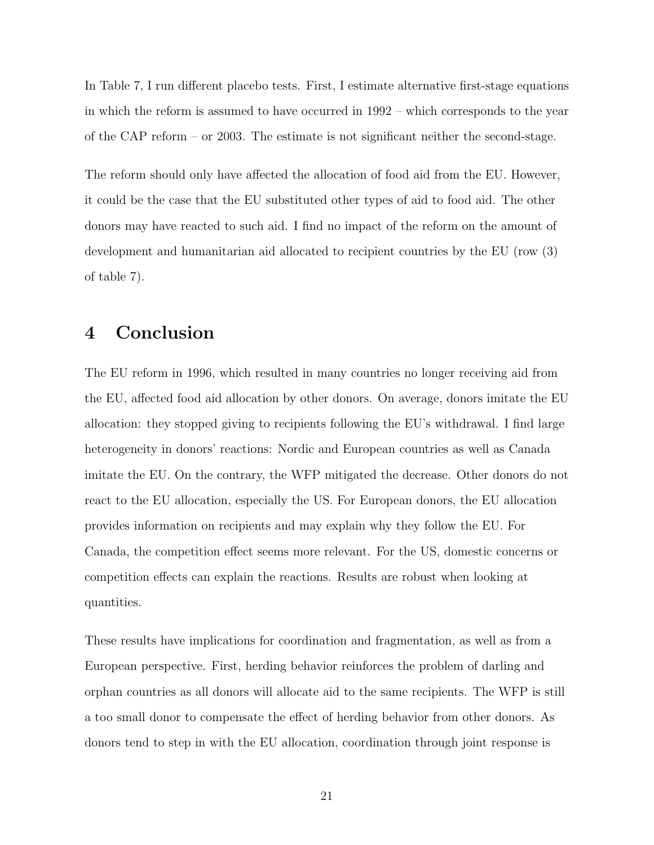In Table 7, I run different placebo tests. First, I estimate alternative first-stage equations in which the reform is assumed to have occurred in 1992 – which corresponds to the year of the CAP reform – or 2003. The estimate is not significant neither the second-stage.

The reform should only have affected the allocation of food aid from the EU. However, it could be the case that the EU substituted other types of aid to food aid. The other donors may have reacted to such aid. I find no impact of the reform on the amount of development and humanitarian aid allocated to recipient countries by the EU (row (3) of table 7).

## 4 Conclusion

The EU reform in 1996, which resulted in many countries no longer receiving aid from the EU, affected food aid allocation by other donors. On average, donors imitate the EU allocation: they stopped giving to recipients following the EU's withdrawal. I find large heterogeneity in donors' reactions: Nordic and European countries as well as Canada imitate the EU. On the contrary, the WFP mitigated the decrease. Other donors do not react to the EU allocation, especially the US. For European donors, the EU allocation provides information on recipients and may explain why they follow the EU. For Canada, the competition effect seems more relevant. For the US, domestic concerns or competition effects can explain the reactions. Results are robust when looking at quantities.

These results have implications for coordination and fragmentation, as well as from a European perspective. First, herding behavior reinforces the problem of darling and orphan countries as all donors will allocate aid to the same recipients. The WFP is still a too small donor to compensate the effect of herding behavior from other donors. As donors tend to step in with the EU allocation, coordination through joint response is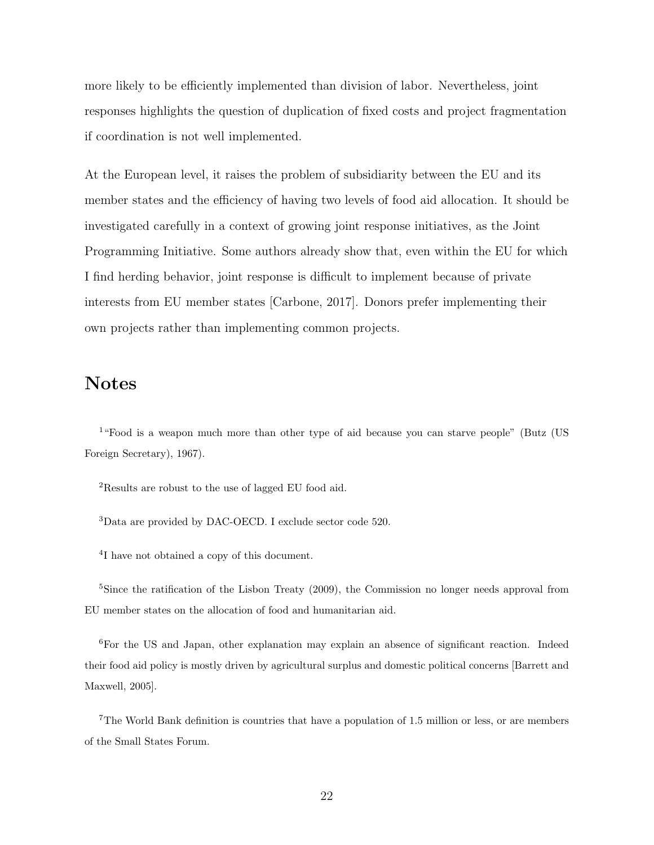more likely to be efficiently implemented than division of labor. Nevertheless, joint responses highlights the question of duplication of fixed costs and project fragmentation if coordination is not well implemented.

At the European level, it raises the problem of subsidiarity between the EU and its member states and the efficiency of having two levels of food aid allocation. It should be investigated carefully in a context of growing joint response initiatives, as the Joint Programming Initiative. Some authors already show that, even within the EU for which I find herding behavior, joint response is difficult to implement because of private interests from EU member states [Carbone, 2017]. Donors prefer implementing their own projects rather than implementing common projects.

## Notes

<sup>1</sup>"Food is a weapon much more than other type of aid because you can starve people" (Butz (US Foreign Secretary), 1967).

<sup>2</sup>Results are robust to the use of lagged EU food aid.

<sup>3</sup>Data are provided by DAC-OECD. I exclude sector code 520.

4 I have not obtained a copy of this document.

<sup>5</sup>Since the ratification of the Lisbon Treaty (2009), the Commission no longer needs approval from EU member states on the allocation of food and humanitarian aid.

<sup>6</sup>For the US and Japan, other explanation may explain an absence of significant reaction. Indeed their food aid policy is mostly driven by agricultural surplus and domestic political concerns [Barrett and Maxwell, 2005].

<sup>7</sup>The World Bank definition is countries that have a population of 1.5 million or less, or are members of the Small States Forum.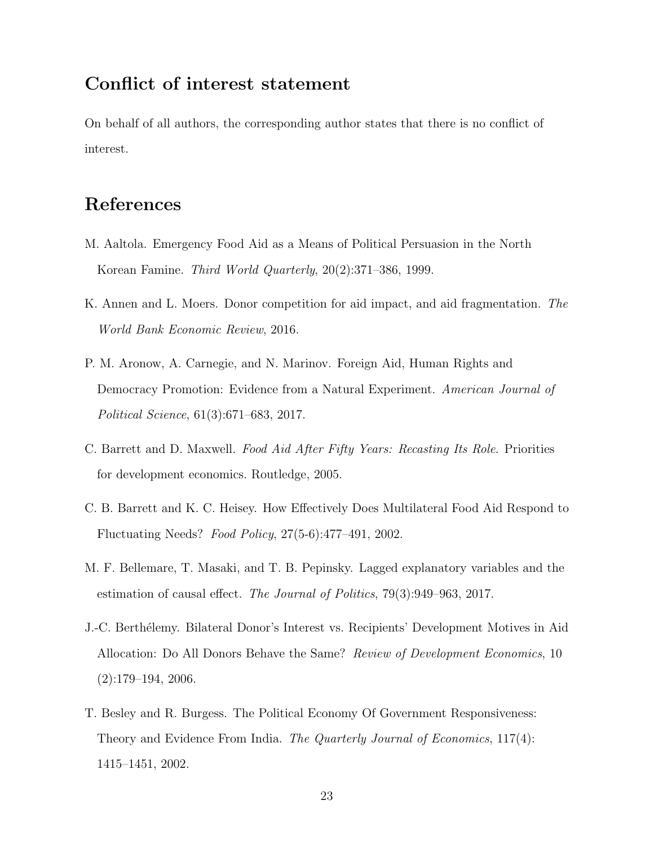## Conflict of interest statement

On behalf of all authors, the corresponding author states that there is no conflict of interest.

## References

- M. Aaltola. Emergency Food Aid as a Means of Political Persuasion in the North Korean Famine. Third World Quarterly, 20(2):371–386, 1999.
- K. Annen and L. Moers. Donor competition for aid impact, and aid fragmentation. The World Bank Economic Review, 2016.
- P. M. Aronow, A. Carnegie, and N. Marinov. Foreign Aid, Human Rights and Democracy Promotion: Evidence from a Natural Experiment. American Journal of Political Science, 61(3):671–683, 2017.
- C. Barrett and D. Maxwell. Food Aid After Fifty Years: Recasting Its Role. Priorities for development economics. Routledge, 2005.
- C. B. Barrett and K. C. Heisey. How Effectively Does Multilateral Food Aid Respond to Fluctuating Needs? Food Policy, 27(5-6):477–491, 2002.
- M. F. Bellemare, T. Masaki, and T. B. Pepinsky. Lagged explanatory variables and the estimation of causal effect. The Journal of Politics, 79(3):949–963, 2017.
- J.-C. Berthélemy. Bilateral Donor's Interest vs. Recipients' Development Motives in Aid Allocation: Do All Donors Behave the Same? Review of Development Economics, 10  $(2):179-194, 2006.$
- T. Besley and R. Burgess. The Political Economy Of Government Responsiveness: Theory and Evidence From India. The Quarterly Journal of Economics, 117(4): 1415–1451, 2002.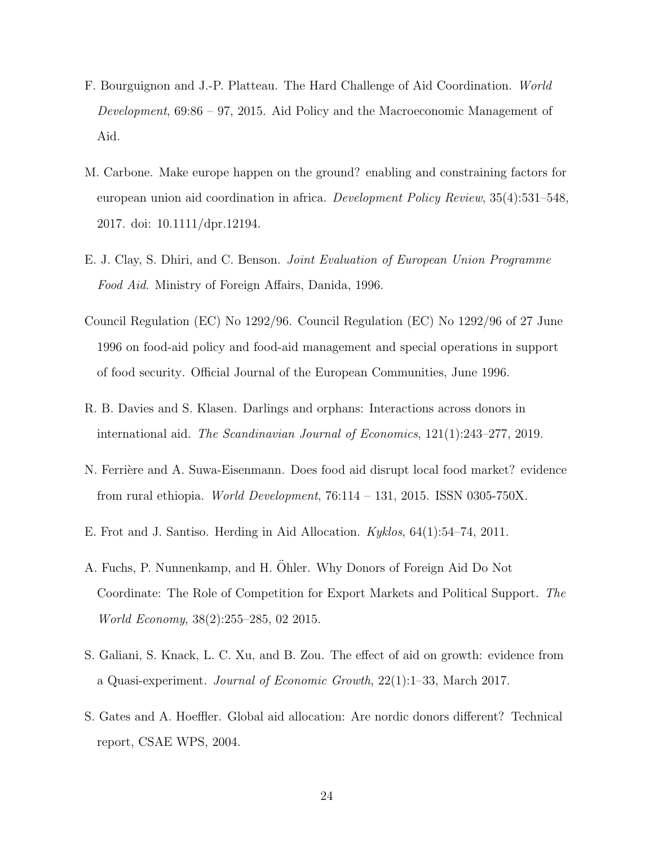- F. Bourguignon and J.-P. Platteau. The Hard Challenge of Aid Coordination. World Development, 69:86 – 97, 2015. Aid Policy and the Macroeconomic Management of Aid.
- M. Carbone. Make europe happen on the ground? enabling and constraining factors for european union aid coordination in africa. Development Policy Review, 35(4):531–548, 2017. doi: 10.1111/dpr.12194.
- E. J. Clay, S. Dhiri, and C. Benson. Joint Evaluation of European Union Programme Food Aid. Ministry of Foreign Affairs, Danida, 1996.
- Council Regulation (EC) No 1292/96. Council Regulation (EC) No 1292/96 of 27 June 1996 on food-aid policy and food-aid management and special operations in support of food security. Official Journal of the European Communities, June 1996.
- R. B. Davies and S. Klasen. Darlings and orphans: Interactions across donors in international aid. The Scandinavian Journal of Economics, 121(1):243–277, 2019.
- N. Ferrière and A. Suwa-Eisenmann. Does food aid disrupt local food market? evidence from rural ethiopia. *World Development*,  $76:114 - 131$ , 2015. ISSN 0305-750X.
- E. Frot and J. Santiso. Herding in Aid Allocation. Kyklos, 64(1):54–74, 2011.
- A. Fuchs, P. Nunnenkamp, and H. Ohler. Why Donors of Foreign Aid Do Not Coordinate: The Role of Competition for Export Markets and Political Support. The World Economy, 38(2):255–285, 02 2015.
- S. Galiani, S. Knack, L. C. Xu, and B. Zou. The effect of aid on growth: evidence from a Quasi-experiment. Journal of Economic Growth, 22(1):1–33, March 2017.
- S. Gates and A. Hoeffler. Global aid allocation: Are nordic donors different? Technical report, CSAE WPS, 2004.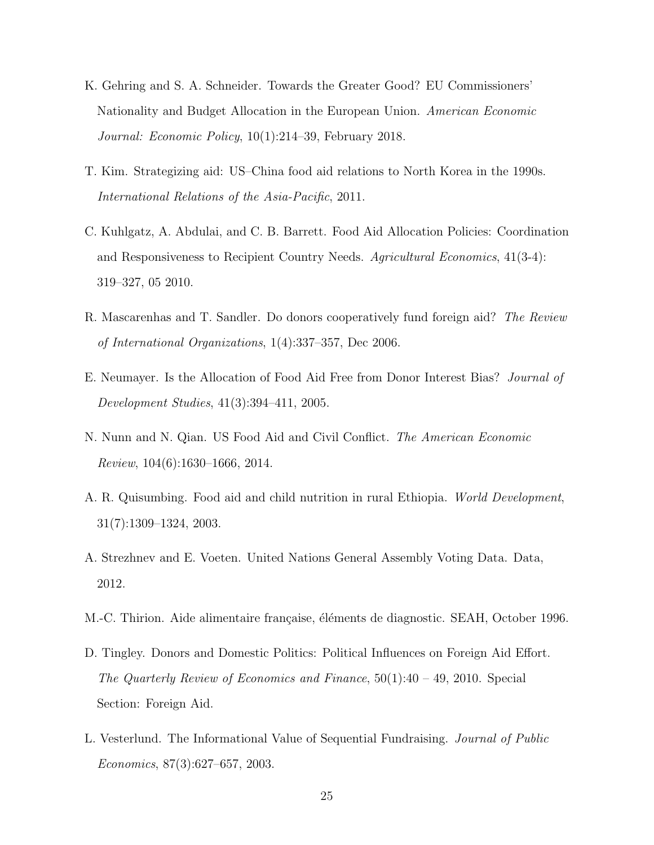- K. Gehring and S. A. Schneider. Towards the Greater Good? EU Commissioners' Nationality and Budget Allocation in the European Union. American Economic Journal: Economic Policy, 10(1):214–39, February 2018.
- T. Kim. Strategizing aid: US–China food aid relations to North Korea in the 1990s. International Relations of the Asia-Pacific, 2011.
- C. Kuhlgatz, A. Abdulai, and C. B. Barrett. Food Aid Allocation Policies: Coordination and Responsiveness to Recipient Country Needs. Agricultural Economics, 41(3-4): 319–327, 05 2010.
- R. Mascarenhas and T. Sandler. Do donors cooperatively fund foreign aid? The Review of International Organizations, 1(4):337–357, Dec 2006.
- E. Neumayer. Is the Allocation of Food Aid Free from Donor Interest Bias? Journal of Development Studies, 41(3):394–411, 2005.
- N. Nunn and N. Qian. US Food Aid and Civil Conflict. The American Economic Review, 104(6):1630–1666, 2014.
- A. R. Quisumbing. Food aid and child nutrition in rural Ethiopia. World Development, 31(7):1309–1324, 2003.
- A. Strezhnev and E. Voeten. United Nations General Assembly Voting Data. Data, 2012.
- M.-C. Thirion. Aide alimentaire française, éléments de diagnostic. SEAH, October 1996.
- D. Tingley. Donors and Domestic Politics: Political Influences on Foreign Aid Effort. The Quarterly Review of Economics and Finance, 50(1):40 – 49, 2010. Special Section: Foreign Aid.
- L. Vesterlund. The Informational Value of Sequential Fundraising. Journal of Public Economics, 87(3):627–657, 2003.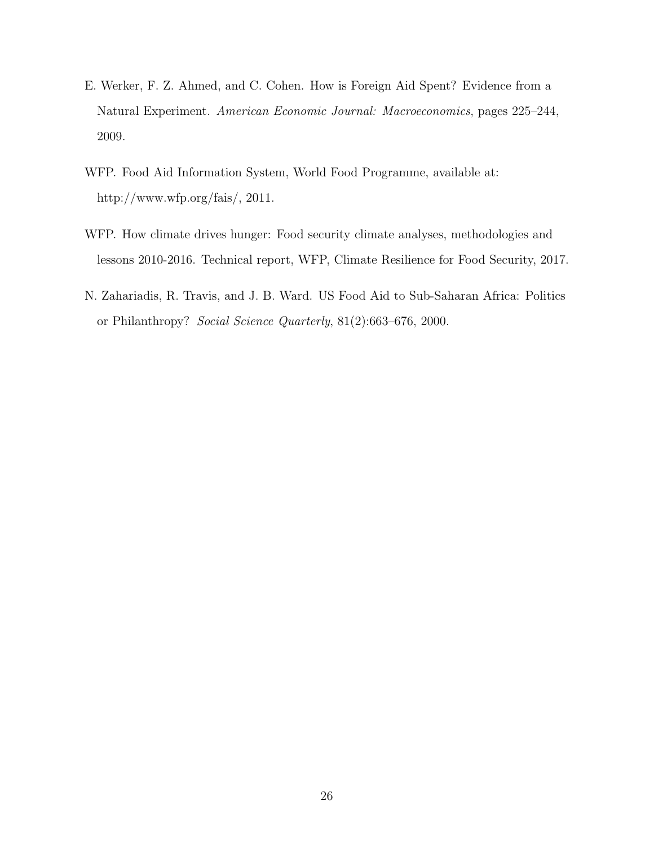- E. Werker, F. Z. Ahmed, and C. Cohen. How is Foreign Aid Spent? Evidence from a Natural Experiment. American Economic Journal: Macroeconomics, pages 225–244, 2009.
- WFP. Food Aid Information System, World Food Programme, available at: http://www.wfp.org/fais/, 2011.
- WFP. How climate drives hunger: Food security climate analyses, methodologies and lessons 2010-2016. Technical report, WFP, Climate Resilience for Food Security, 2017.
- N. Zahariadis, R. Travis, and J. B. Ward. US Food Aid to Sub-Saharan Africa: Politics or Philanthropy? Social Science Quarterly, 81(2):663–676, 2000.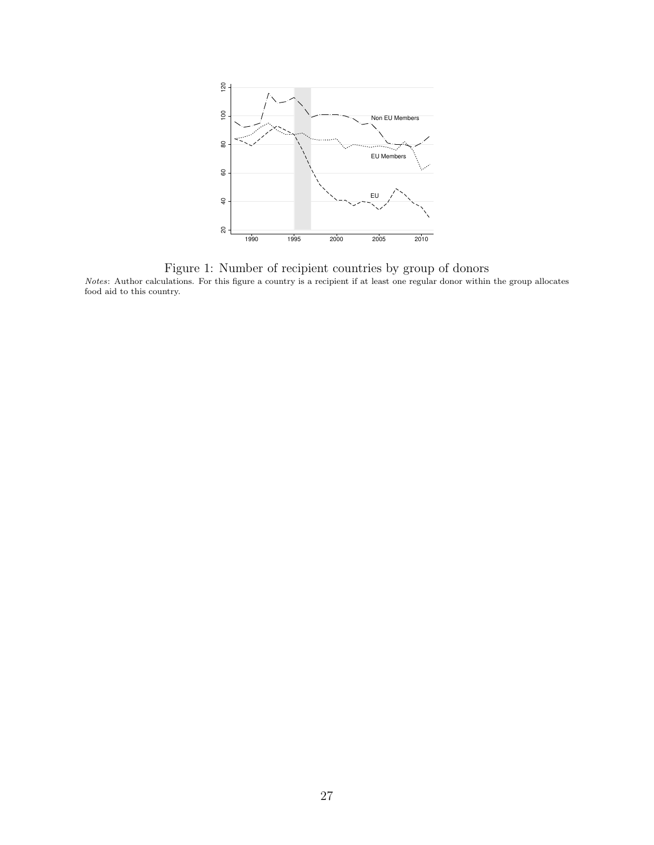

Figure 1: Number of recipient countries by group of donors Notes: Author calculations. For this figure a country is a recipient if at least one regular donor within the group allocates food aid to this country.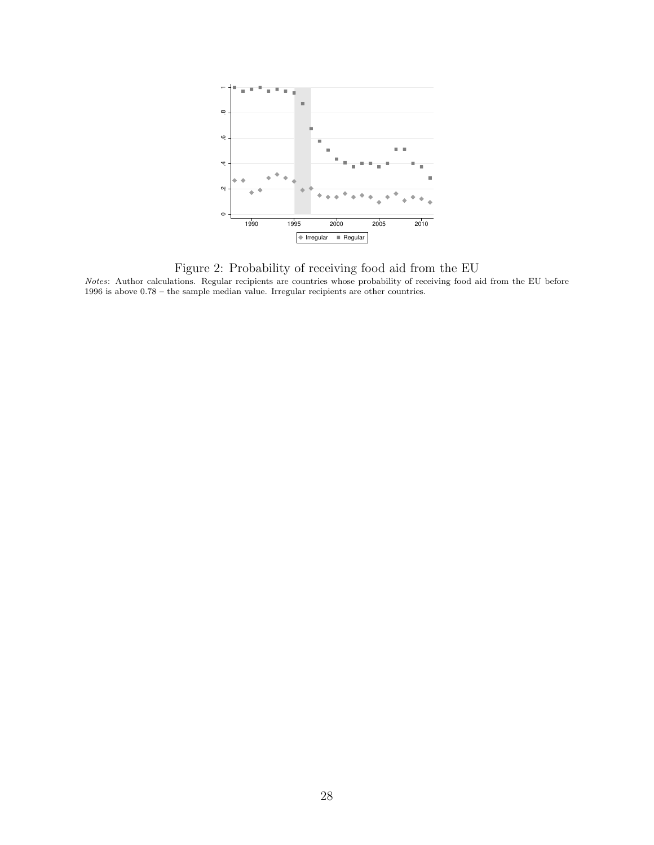

Figure 2: Probability of receiving food aid from the EU

Notes: Author calculations. Regular recipients are countries whose probability of receiving food aid from the EU before 1996 is above 0.78 – the sample median value. Irregular recipients are other countries.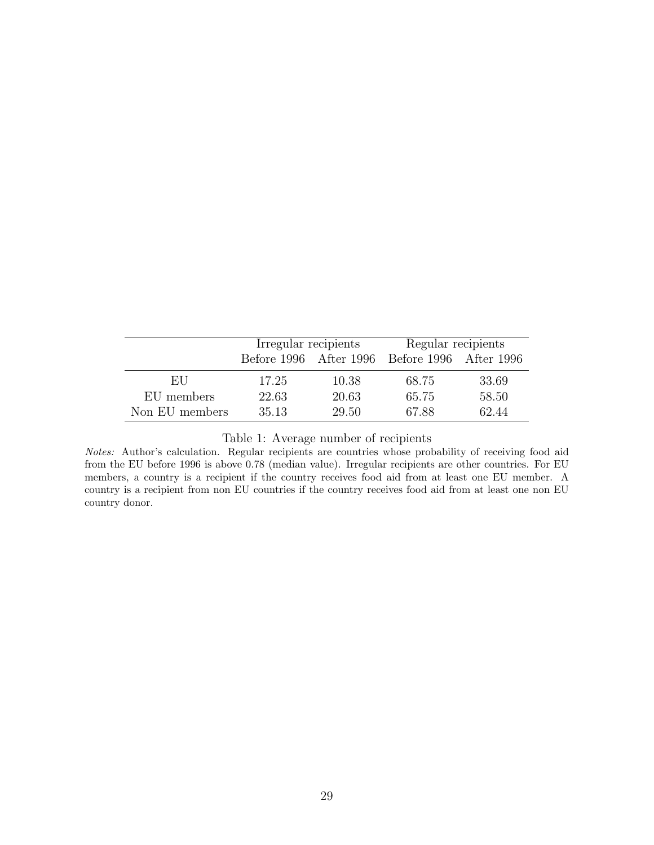|                | Irregular recipients |       | Regular recipients                            |       |
|----------------|----------------------|-------|-----------------------------------------------|-------|
|                |                      |       | Before 1996 After 1996 Before 1996 After 1996 |       |
| EU             | 17.25                | 10.38 | 68.75                                         | 33.69 |
| EU members     | 22.63                | 20.63 | 65.75                                         | 58.50 |
| Non EU members | 35.13                | 29.50 | 67.88                                         | 62.44 |

Table 1: Average number of recipients

Notes: Author's calculation. Regular recipients are countries whose probability of receiving food aid from the EU before 1996 is above 0.78 (median value). Irregular recipients are other countries. For EU members, a country is a recipient if the country receives food aid from at least one EU member. A country is a recipient from non EU countries if the country receives food aid from at least one non EU country donor.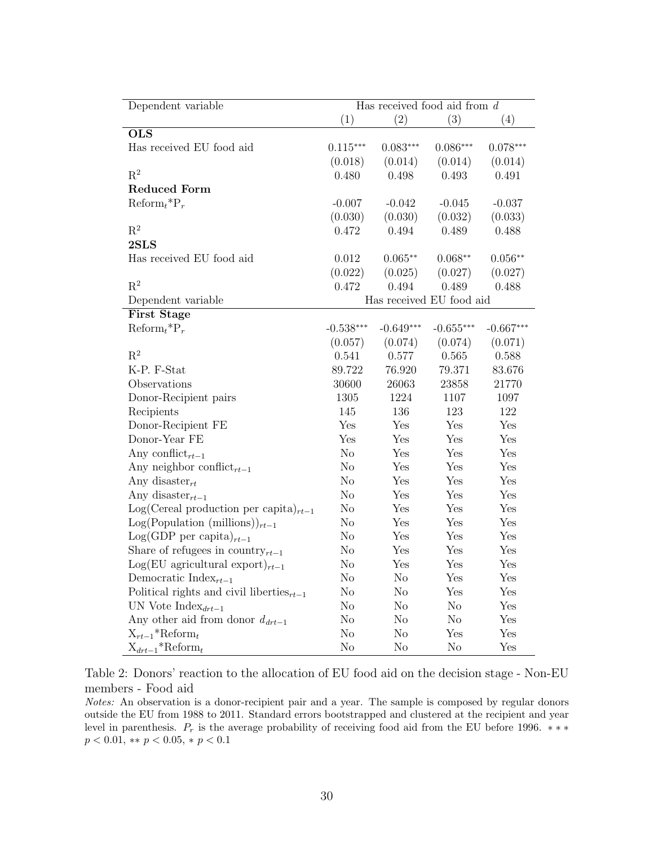| Dependent variable                              |                          | Has received food aid from $d$ |                |             |
|-------------------------------------------------|--------------------------|--------------------------------|----------------|-------------|
|                                                 | (1)                      | (2)                            | (3)            | (4)         |
| $\overline{\mathrm{OLS}}$                       |                          |                                |                |             |
| Has received EU food aid                        | $0.115***$               | $0.083***$                     | $0.086***$     | $0.078***$  |
|                                                 | (0.018)                  | (0.014)                        | (0.014)        | (0.014)     |
| $R^2$                                           | 0.480                    | 0.498                          | 0.493          | 0.491       |
| <b>Reduced Form</b>                             |                          |                                |                |             |
| $\text{Reform}_{t}$ <sup>*</sup> $\text{P}_{r}$ | $-0.007$                 | $-0.042$                       | $-0.045$       | $-0.037$    |
|                                                 | (0.030)                  | (0.030)                        | (0.032)        | (0.033)     |
| $\mathbf{R}^2$                                  | 0.472                    | 0.494                          | 0.489          | 0.488       |
| 2SLS                                            |                          |                                |                |             |
| Has received EU food aid                        | 0.012                    | $0.065**$                      | $0.068**$      | $0.056**$   |
|                                                 | (0.022)                  | (0.025)                        | (0.027)        | (0.027)     |
| $R^2$                                           | 0.472                    | 0.494                          | 0.489          | 0.488       |
| Dependent variable                              | Has received EU food aid |                                |                |             |
| <b>First Stage</b>                              |                          |                                |                |             |
| $\text{Reform}_{t}$ * $\text{P}_{r}$            | $-0.538***$              | $-0.649***$                    | $-0.655***$    | $-0.667***$ |
|                                                 | (0.057)                  | (0.074)                        | (0.074)        | (0.071)     |
| $\mathbf{R}^2$                                  | 0.541                    | 0.577                          | 0.565          | 0.588       |
| K-P. F-Stat                                     | 89.722                   | 76.920                         | 79.371         | 83.676      |
| Observations                                    | 30600                    | 26063                          | 23858          | 21770       |
| Donor-Recipient pairs                           | 1305                     | 1224                           | 1107           | 1097        |
| Recipients                                      | 145                      | 136                            | 123            | 122         |
| Donor-Recipient FE                              | Yes                      | Yes                            | Yes            | Yes         |
| Donor-Year FE                                   | Yes                      | Yes                            | Yes            | Yes         |
| Any conflict <sub>rt-1</sub>                    | No                       | Yes                            | Yes            | Yes         |
| Any neighbor conflict <sub>rt-1</sub>           | No                       | Yes                            | Yes            | Yes         |
| Any disaster <sub>rt</sub>                      | No                       | Yes                            | Yes            | Yes         |
| Any disaster <sub>rt-1</sub>                    | No                       | Yes                            | Yes            | Yes         |
| $Log(Cereal production per capita)_{rt-1}$      | No                       | Yes                            | Yes            | Yes         |
| $Log(Population (millions))_{rt-1}$             | No                       | Yes                            | Yes            | Yes         |
| $Log(GDP \text{ per capita})_{rt-1}$            | No                       | Yes                            | Yes            | Yes         |
| Share of refugees in country $_{rt-1}$          | $\rm No$                 | Yes                            | Yes            | Yes         |
| $Log(EU$ agricultural export) <sub>rt-1</sub>   | $\rm No$                 | Yes                            | Yes            | Yes         |
| Democratic Index $_{rt-1}$                      | No                       | $\rm No$                       | Yes            | Yes         |
| Political rights and civil liberties $_{rt-1}$  | $\rm No$                 | No                             | Yes            | Yes         |
| UN Vote $Index_{drt-1}$                         | No                       | No                             | No             | Yes         |
| Any other aid from donor $d_{drt-1}$            | No                       | No                             | No             | Yes         |
| $X_{rt-1}$ *Reform <sub>t</sub>                 | No                       | N <sub>o</sub>                 | Yes            | Yes         |
| $X_{drt-1}$ *Reform <sub>t</sub>                | No                       | N <sub>o</sub>                 | N <sub>o</sub> | Yes         |

Table 2: Donors' reaction to the allocation of EU food aid on the decision stage - Non-EU members - Food aid

Notes: An observation is a donor-recipient pair and a year. The sample is composed by regular donors outside the EU from 1988 to 2011. Standard errors bootstrapped and clustered at the recipient and year level in parenthesis.  $P_r$  is the average probability of receiving food aid from the EU before 1996. \*\*\*  $p < 0.01$ , \*\*  $p < 0.05$ , \*  $p < 0.1$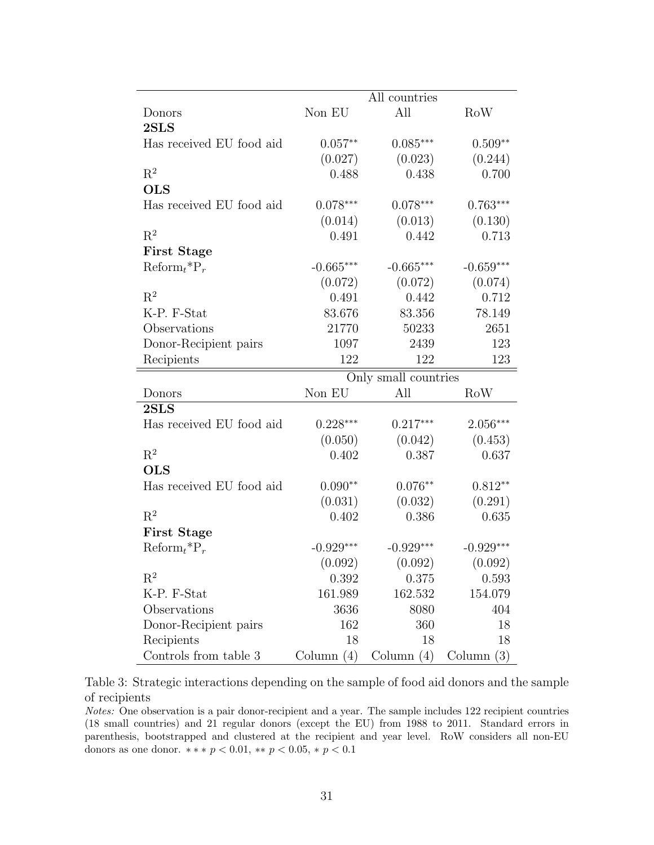|                                                 |              | All countries        |              |
|-------------------------------------------------|--------------|----------------------|--------------|
| Donors                                          | Non EU       | All                  | RoW          |
| 2SLS                                            |              |                      |              |
| Has received EU food aid                        | $0.057**$    | $0.085***$           | $0.509**$    |
|                                                 | (0.027)      | (0.023)              | (0.244)      |
| $\mathbf{R}^2$                                  | 0.488        | 0.438                | 0.700        |
| <b>OLS</b>                                      |              |                      |              |
| Has received EU food aid                        | $0.078***$   | $0.078***$           | $0.763***$   |
|                                                 | (0.014)      | (0.013)              | (0.130)      |
| $R^2$                                           | 0.491        | 0.442                | 0.713        |
| <b>First Stage</b>                              |              |                      |              |
| $\operatorname{Reform}_t{}^*P_r$                | $-0.665***$  | $-0.665***$          | $-0.659***$  |
|                                                 | (0.072)      | (0.072)              | (0.074)      |
| $\mathrm{R}^2$                                  | 0.491        | 0.442                | 0.712        |
| K-P. F-Stat                                     | 83.676       | 83.356               | 78.149       |
| Observations                                    | 21770        | 50233                | 2651         |
| Donor-Recipient pairs                           | 1097         | 2439                 | 123          |
| Recipients                                      | 122          | 122                  | 123          |
|                                                 |              | Only small countries |              |
| Donors                                          | Non EU       | All                  | RoW          |
| 2SLS                                            |              |                      |              |
| Has received EU food aid                        | $0.228***$   | $0.217***$           | $2.056***$   |
|                                                 | (0.050)      | (0.042)              | (0.453)      |
| $R^2$                                           | 0.402        | 0.387                | 0.637        |
| <b>OLS</b>                                      |              |                      |              |
| Has received EU food aid                        | $0.090**$    | $0.076**$            | $0.812**$    |
|                                                 | (0.031)      | (0.032)              | (0.291)      |
| $R^2$                                           | 0.402        | 0.386                | 0.635        |
| <b>First Stage</b>                              |              |                      |              |
| $\text{Reform}_{t}$ <sup>*</sup> $\text{P}_{r}$ | $-0.929***$  | $-0.929***$          | $-0.929***$  |
|                                                 | (0.092)      | (0.092)              | (0.092)      |
| $\mathrm{R}^2$                                  | 0.392        | 0.375                | 0.593        |
| K-P. F-Stat                                     | 161.989      | 162.532              | 154.079      |
| Observations                                    | 3636         | 8080                 | 404          |
| Donor-Recipient pairs                           | 162          | 360                  | 18           |
| Recipients                                      | 18           | 18                   | 18           |
| Controls from table $3$                         | Column $(4)$ | Column $(4)$         | Column $(3)$ |

Table 3: Strategic interactions depending on the sample of food aid donors and the sample of recipients

Notes: One observation is a pair donor-recipient and a year. The sample includes 122 recipient countries (18 small countries) and 21 regular donors (except the EU) from 1988 to 2011. Standard errors in parenthesis, bootstrapped and clustered at the recipient and year level. RoW considers all non-EU donors as one donor.  $** * p < 0.01$ ,  $** p < 0.05$ ,  $* p < 0.1$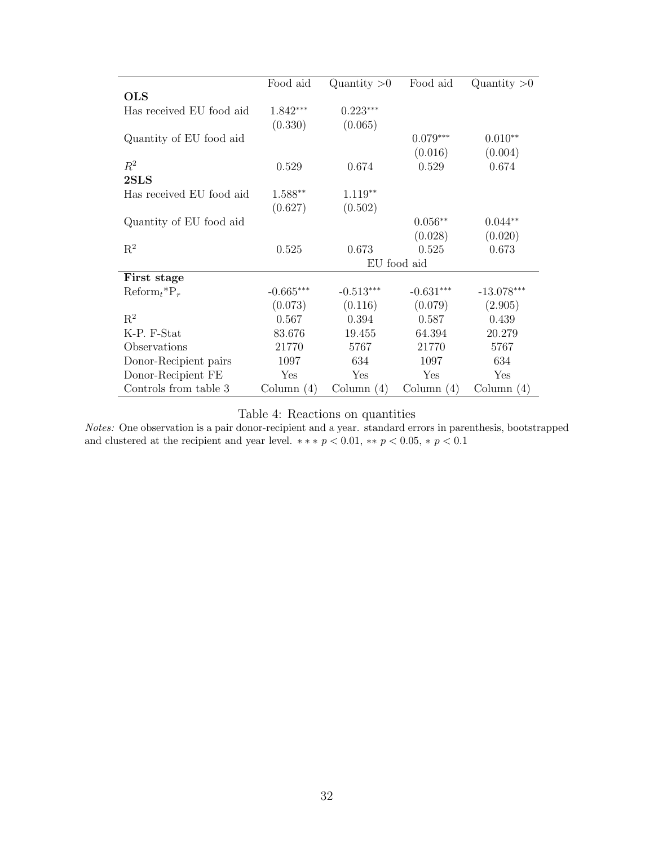|                                  | Food aid     | Quantity $>0$ | Food aid     | Quantity $>0$ |
|----------------------------------|--------------|---------------|--------------|---------------|
| <b>OLS</b>                       |              |               |              |               |
| Has received EU food aid         | $1.842***$   | $0.223***$    |              |               |
|                                  | (0.330)      | (0.065)       |              |               |
| Quantity of EU food aid          |              |               | $0.079***$   | $0.010**$     |
|                                  |              |               | (0.016)      | (0.004)       |
| $R^2$                            | 0.529        | 0.674         | 0.529        | 0.674         |
| $2{\rm SLS}$                     |              |               |              |               |
| Has received EU food aid         | $1.588**$    | $1.119**$     |              |               |
|                                  | (0.627)      | (0.502)       |              |               |
| Quantity of EU food aid          |              |               | $0.056**$    | $0.044**$     |
|                                  |              |               | (0.028)      | (0.020)       |
| $\mathbf{R}^2$                   | 0.525        | 0.673         | 0.525        | 0.673         |
|                                  |              |               | EU food aid  |               |
| First stage                      |              |               |              |               |
| $\operatorname{Reform}_t{}^*P_r$ | $-0.665***$  | $-0.513***$   | $-0.631***$  | $-13.078***$  |
|                                  | (0.073)      | (0.116)       | (0.079)      | (2.905)       |
| $R^2$                            | 0.567        | 0.394         | 0.587        | 0.439         |
| K-P. F-Stat                      | 83.676       | 19.455        | 64.394       | 20.279        |
| Observations                     | 21770        | 5767          | 21770        | 5767          |
| Donor-Recipient pairs            | 1097         | 634           | 1097         | 634           |
| Donor-Recipient FE               | Yes          | Yes           | Yes          | Yes           |
| Controls from table 3            | Column $(4)$ | Column $(4)$  | Column $(4)$ | Column $(4)$  |

Table 4: Reactions on quantities

Notes: One observation is a pair donor-recipient and a year. standard errors in parenthesis, bootstrapped and clustered at the recipient and year level.  $**$   $p < 0.01$ ,  $**$   $p < 0.05$ ,  $*$   $p < 0.1$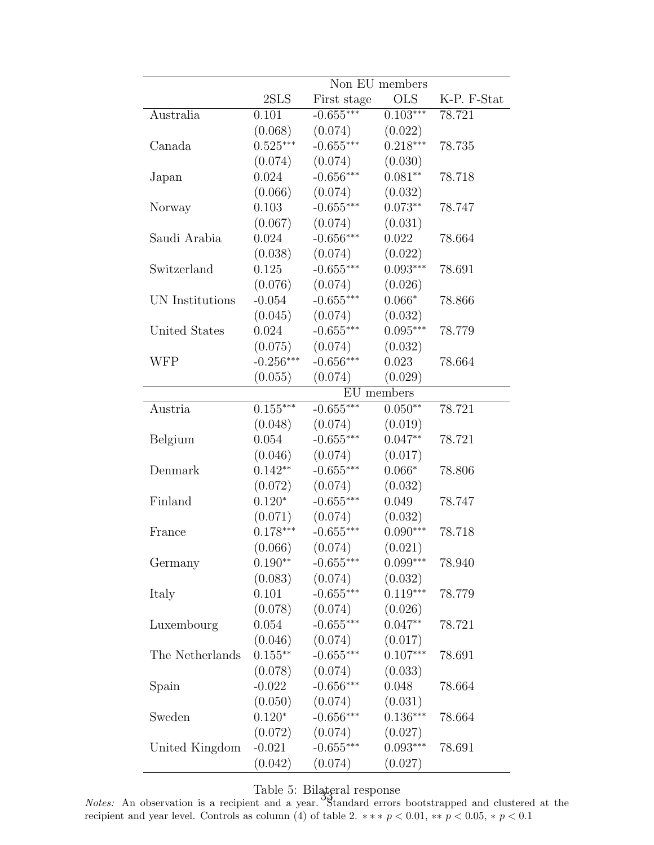|                 |             |             | Non EU members |             |
|-----------------|-------------|-------------|----------------|-------------|
|                 | 2SLS        | First stage | <b>OLS</b>     | K-P. F-Stat |
| Australia       | 0.101       | $-0.655***$ | $0.103***$     | 78.721      |
|                 | (0.068)     | (0.074)     | (0.022)        |             |
| Canada          | $0.525***$  | $-0.655***$ | $0.218***$     | 78.735      |
|                 | (0.074)     | (0.074)     | (0.030)        |             |
| Japan           | 0.024       | $-0.656***$ | $0.081**$      | 78.718      |
|                 | (0.066)     | (0.074)     | (0.032)        |             |
| Norway          | 0.103       | $-0.655***$ | $0.073**$      | 78.747      |
|                 | (0.067)     | (0.074)     | (0.031)        |             |
| Saudi Arabia    | 0.024       | $-0.656***$ | 0.022          | 78.664      |
|                 |             |             |                |             |
|                 | (0.038)     | (0.074)     | (0.022)        |             |
| Switzerland     | 0.125       | $-0.655***$ | $0.093***$     | 78.691      |
|                 | (0.076)     | (0.074)     | (0.026)        |             |
| UN Institutions | $-0.054$    | $-0.655***$ | $0.066*$       | 78.866      |
|                 | (0.045)     | (0.074)     | (0.032)        |             |
| United States   | 0.024       | $-0.655***$ | $0.095***$     | 78.779      |
|                 | (0.075)     | (0.074)     | (0.032)        |             |
| <b>WFP</b>      | $-0.256***$ | $-0.656***$ | 0.023          | 78.664      |
|                 | (0.055)     | (0.074)     | (0.029)        |             |
|                 |             |             | EU members     |             |
| Austria         | $0.155***$  | $-0.655***$ | $0.050**$      | 78.721      |
|                 | (0.048)     | (0.074)     | (0.019)        |             |
| Belgium         | 0.054       | $-0.655***$ | $0.047**$      | 78.721      |
|                 | (0.046)     | (0.074)     | (0.017)        |             |
| Denmark         | $0.142**$   | $-0.655***$ | $0.066*$       | 78.806      |
|                 | (0.072)     | (0.074)     | (0.032)        |             |
| Finland         | $0.120*$    | $-0.655***$ | 0.049          | 78.747      |
|                 | (0.071)     | (0.074)     | (0.032)        |             |
| France          | $0.178***$  | $-0.655***$ | $0.090***$     | 78.718      |
|                 | (0.066)     | (0.074)     | (0.021)        |             |
| Germany         | $0.190**$   | $-0.655***$ | $0.099***$     | 78.940      |
|                 | (0.083)     | (0.074)     | (0.032)        |             |
| Italy           | 0.101       | $-0.655***$ | $0.119***$     | 78.779      |
|                 | (0.078)     | (0.074)     | (0.026)        |             |
| Luxembourg      | 0.054       | $-0.655***$ | $0.047**$      | 78.721      |
|                 | (0.046)     | (0.074)     | (0.017)        |             |
| The Netherlands | $0.155***$  | $-0.655***$ | $0.107***$     |             |
|                 |             |             |                | 78.691      |
|                 | (0.078)     | (0.074)     | (0.033)        |             |
| Spain           | $-0.022$    | $-0.656***$ | 0.048          | 78.664      |
|                 | (0.050)     | (0.074)     | (0.031)        |             |
| Sweden          | $0.120*$    | $-0.656***$ | $0.136***$     | 78.664      |
|                 | (0.072)     | (0.074)     | (0.027)        |             |
| United Kingdom  | $-0.021$    | $-0.655***$ | $0.093***$     | 78.691      |
|                 | (0.042)     | (0.074)     | (0.027)        |             |

Table 5: Bilateral response 35<br>35

Notes: An observation is a recipient and a year. Standard errors bootstrapped and clustered at the recipient and year level. Controls as column (4) of table 2.  $**$   $*$   $p < 0.01$ ,  $**$   $p < 0.05$ ,  $*$   $p < 0.1$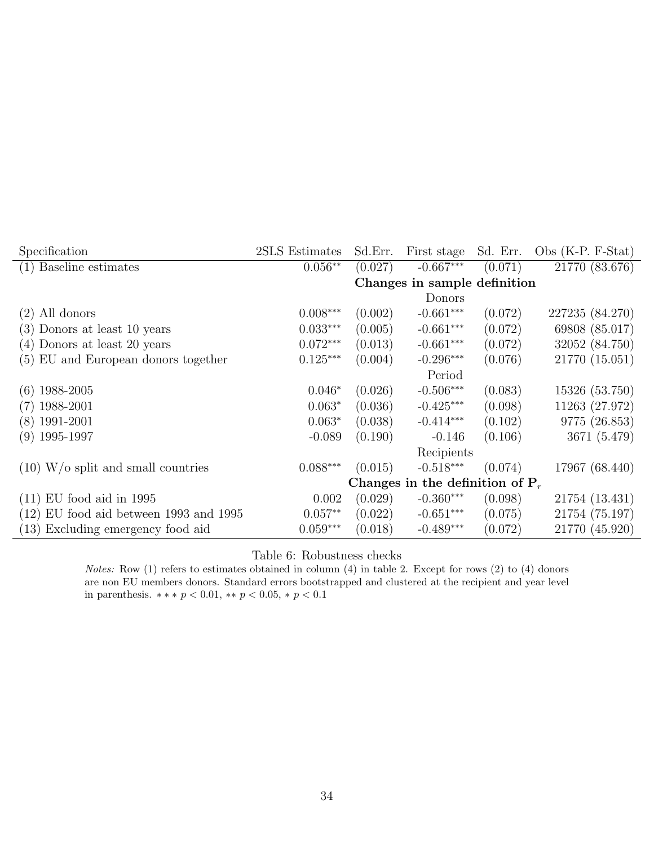| Specification                            | 2SLS Estimates | Sd.Err. | First stage                        | Sd. Err. | Obs $(K-P. F-Stat)$ |
|------------------------------------------|----------------|---------|------------------------------------|----------|---------------------|
| (1) Baseline estimates                   | $0.056**$      | (0.027) | $-0.667***$                        | (0.071)  | 21770 (83.676)      |
|                                          |                |         | Changes in sample definition       |          |                     |
|                                          |                |         | Donors                             |          |                     |
| $(2)$ All donors                         | $0.008***$     | (0.002) | $-0.661***$                        | (0.072)  | 227235 (84.270)     |
| (3) Donors at least 10 years             | $0.033***$     | (0.005) | $-0.661***$                        | (0.072)  | 69808 (85.017)      |
| (4) Donors at least 20 years             | $0.072***$     | (0.013) | $-0.661***$                        | (0.072)  | 32052 (84.750)      |
| (5) EU and European donors together      | $0.125***$     | (0.004) | $-0.296***$                        | (0.076)  | 21770 (15.051)      |
|                                          |                |         | Period                             |          |                     |
| 1988-2005<br>(6)                         | $0.046*$       | (0.026) | $-0.506***$                        | (0.083)  | 15326 (53.750)      |
| 1988-2001<br>(7)                         | $0.063*$       | (0.036) | $-0.425***$                        | (0.098)  | 11263 (27.972)      |
| $(8)$ 1991-2001                          | $0.063*$       | (0.038) | $-0.414***$                        | (0.102)  | 9775 (26.853)       |
| $(9)$ 1995-1997                          | $-0.089$       | (0.190) | $-0.146$                           | (0.106)  | 3671 (5.479)        |
|                                          |                |         | Recipients                         |          |                     |
| $(10)$ W/o split and small countries     | $0.088***$     | (0.015) | $-0.518***$                        | (0.074)  | 17967 (68.440)      |
|                                          |                |         | Changes in the definition of $P_r$ |          |                     |
| $(11)$ EU food aid in 1995               | 0.002          | (0.029) | $-0.360***$                        | (0.098)  | 21754 (13.431)      |
| $(12)$ EU food aid between 1993 and 1995 | $0.057**$      | (0.022) | $-0.651***$                        | (0.075)  | 21754 (75.197)      |
| (13) Excluding emergency food aid        | $0.059***$     | (0.018) | $-0.489***$                        | (0.072)  | 21770 (45.920)      |

Table 6: Robustness checks

Notes: Row (1) refers to estimates obtained in column (4) in table 2. Except for rows (2) to (4) donors are non EU members donors. Standard errors bootstrapped and clustered at the recipient and year level in parenthesis.  $\ast \ast \ast \, p < 0.01, \, \ast \ast \, p < 0.05, \, \ast \, p < 0.1$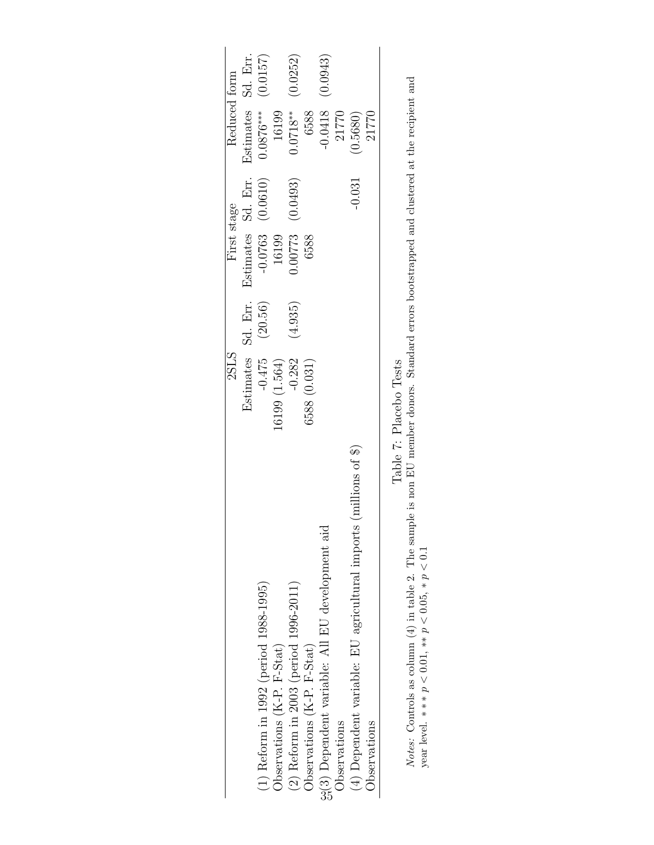|                                                                              | 2SLS                   |         | First stage        |          | Reduced form       |          |
|------------------------------------------------------------------------------|------------------------|---------|--------------------|----------|--------------------|----------|
|                                                                              | Estimates              | Sd. Em. | Estimates Sd. Err. |          | Estimates Sd. Err. |          |
| $(1)$ Reform in 1992 (period 1988-1995)                                      | $-0.475$               | (20.56) | $-0.0763$<br>16199 | (0.0610) | $0.0876***$        | (0.0157) |
| Observations (K-P. F-Stat)                                                   | (1.564)                |         |                    |          | 16199              |          |
| (2) Reform in 2003 (period 1996-2011)                                        | $-0.282$               | (4.935) | 0.00773            | (0.0493) | $0.0718**$         | (0.0252) |
| Observations (K-P. F-Stat)                                                   | 6588 (0.031)           |         | 6588               |          | 6588               |          |
| 99(3) Dependent variable: All EU development aid                             |                        |         |                    |          | 0.0418             | (0.0943) |
| Observations                                                                 |                        |         |                    |          | 21770              |          |
| $(\text{millions of } $)$<br>(4) Dependent variable: EU agricultural imports |                        |         |                    | $-0.031$ | (0.5680)           |          |
| Observations                                                                 |                        |         |                    |          | 21770              |          |
|                                                                              | Tahle 7: Placeho Texts |         |                    |          |                    |          |

Table 7: Placebo Tests

*Notes:* Controls as column (4) in table 2. The sample is non EU member donors. Standard errors bootstrapped and clustered at the recipient and year level. \*\*  $p < 0.01$ , \*\*  $p < 0.1$ Notes: Controls as column (4) in table 2. The sample is non EU member donors. Standard errors bootstrapped and clustered at the recipient and year level.  $\ast \ast p$  < 0.01,  $\ast \ast p$  < 0.05,  $\ast p$  < 0.1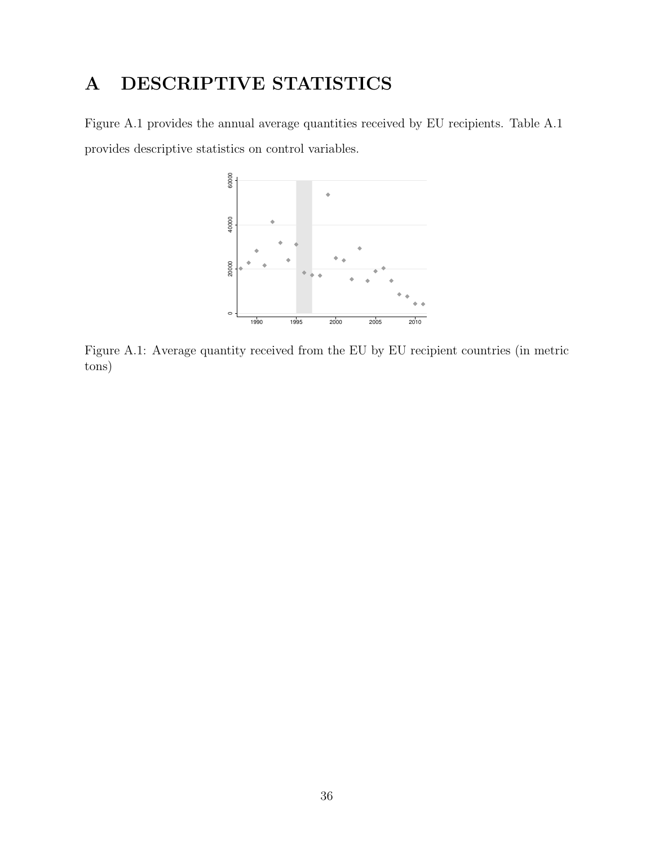# A DESCRIPTIVE STATISTICS

Figure A.1 provides the annual average quantities received by EU recipients. Table A.1 provides descriptive statistics on control variables.



Figure A.1: Average quantity received from the EU by EU recipient countries (in metric tons)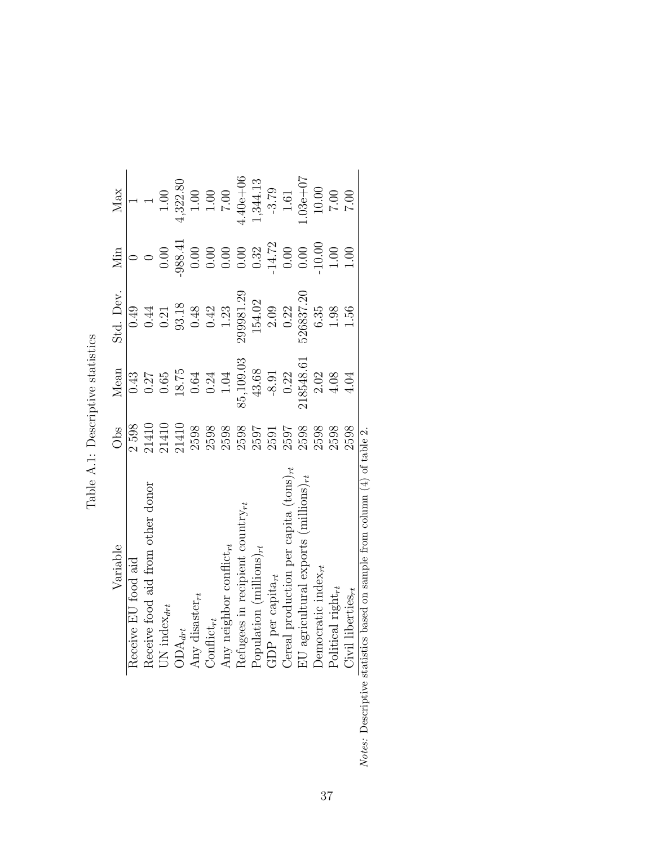| Variable                                                                                                                                                                                                                                                                                                                                                                                                                                                     | Obs   | Mean      | Std. Dev.        | Min                | Max                                                 |
|--------------------------------------------------------------------------------------------------------------------------------------------------------------------------------------------------------------------------------------------------------------------------------------------------------------------------------------------------------------------------------------------------------------------------------------------------------------|-------|-----------|------------------|--------------------|-----------------------------------------------------|
| Receive EU food aid                                                                                                                                                                                                                                                                                                                                                                                                                                          | 2598  | 0.43      | 0.49             |                    |                                                     |
|                                                                                                                                                                                                                                                                                                                                                                                                                                                              | 21410 | 0.27      | 0.44             |                    |                                                     |
| $\begin{array}{l} \mbox{Reeive food aid from other donor}\\ \mbox{UN index}_{drt}\\ \mbox{ADy disaster}_{rt}\\ \mbox{Any diskter}_{rt}\\ \mbox{Any neighbor conflict}_{rt}\\ \mbox{Refuges in recipient country}_{rt}\\ \mbox{Repulation (millions)}_{rt}\\ \mbox{COP per capital}_{rt}\\ \mbox{C1P per capital}_{rt}\\ \mbox{Democratic index}_{rt}\\ \mbox{Democratic index}_{rt}\\ \mbox{Doltical right}_{rt}\\ \mbox{Civil liberies}_{rt}\\ \end{array}$ | 21410 | $0.65\,$  | 0.21             | 0.00               | $1.00\,$                                            |
|                                                                                                                                                                                                                                                                                                                                                                                                                                                              | 21410 | $18.75$   | 93.18            | 988.41             | 4,322.80                                            |
|                                                                                                                                                                                                                                                                                                                                                                                                                                                              | 2598  | 0.64      | 0.48             | $0.00\,$           |                                                     |
|                                                                                                                                                                                                                                                                                                                                                                                                                                                              | 2598  | 0.24      | 0.42             | 0.00               | $\begin{array}{c} 1.00 \\ 1.00 \\ 0.01 \end{array}$ |
|                                                                                                                                                                                                                                                                                                                                                                                                                                                              | 2598  | 1.04      | 1.23             |                    |                                                     |
|                                                                                                                                                                                                                                                                                                                                                                                                                                                              | 2598  | 85,109.03 | 299981.29        | 0.00               | $4.40e + 06$                                        |
|                                                                                                                                                                                                                                                                                                                                                                                                                                                              | 2597  | $43.68$   | 154.02           | $0.32$<br>$-14.72$ | 1,344.13                                            |
|                                                                                                                                                                                                                                                                                                                                                                                                                                                              | 2591  | $-8.91$   | $2.09$<br>$0.22$ |                    | $-3.79$                                             |
|                                                                                                                                                                                                                                                                                                                                                                                                                                                              | 2597  | 0.22      |                  | 0.00               | $1.61$                                              |
|                                                                                                                                                                                                                                                                                                                                                                                                                                                              | 2598  | 218548.61 | 526837.20        | $0.00\,$           | $-0.3e + 0.7$                                       |
|                                                                                                                                                                                                                                                                                                                                                                                                                                                              | 2598  | 2.02      | 6.35             | $10.00$            | $10.00\,$                                           |
|                                                                                                                                                                                                                                                                                                                                                                                                                                                              | 2598  | $4.08$    | 1.98             | 1.00               | $7.00\,$                                            |
|                                                                                                                                                                                                                                                                                                                                                                                                                                                              | 2598  | 4.04      | 1.56             | 00.1               | $7.00\,$                                            |
| Notes: Descriptive statistics based on sample from column $(4)$ of table 2.                                                                                                                                                                                                                                                                                                                                                                                  |       |           |                  |                    |                                                     |

| $-1$<br>$\frac{1}{5}$<br>í<br>0.00010111170 |  |
|---------------------------------------------|--|
| ŀ                                           |  |
| )<br>2<br>م                                 |  |